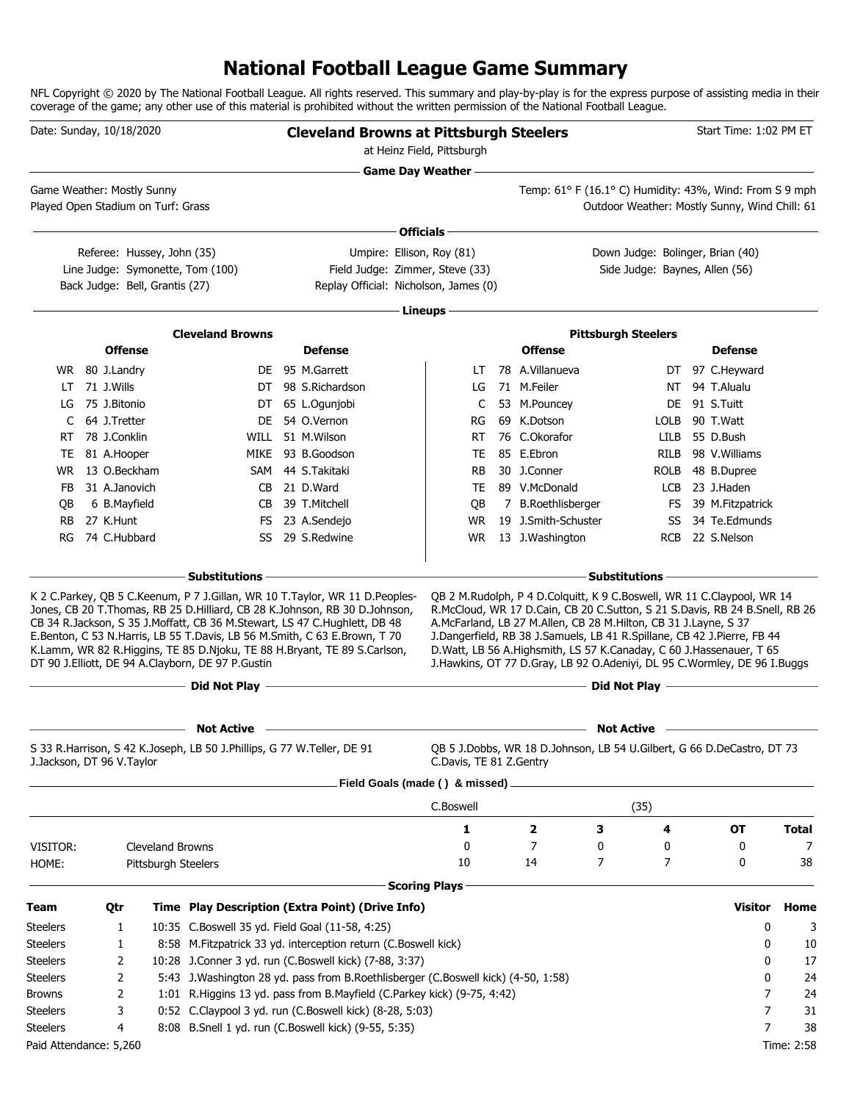### **National Football League Game Summary**

NFL Copyright © 2020 by The National Football League. All rights reserved. This summary and play-by-play is for the express purpose of assisting media in their coverage of the game; any other use of this material is prohibited without the written permission of the National Football League.

|                        | Date: Sunday, 10/18/2020                                         |                                                                            | <b>Cleveland Browns at Pittsburgh Steelers</b>                                                                                                                                                                                                                                                                                                                                                                                                                    | at Heinz Field, Pittsburgh |                                                                                                                                                                                                                                                                                                                                                                                                                                                        |                                                                                           | Start Time: 1:02 PM ET |            |
|------------------------|------------------------------------------------------------------|----------------------------------------------------------------------------|-------------------------------------------------------------------------------------------------------------------------------------------------------------------------------------------------------------------------------------------------------------------------------------------------------------------------------------------------------------------------------------------------------------------------------------------------------------------|----------------------------|--------------------------------------------------------------------------------------------------------------------------------------------------------------------------------------------------------------------------------------------------------------------------------------------------------------------------------------------------------------------------------------------------------------------------------------------------------|-------------------------------------------------------------------------------------------|------------------------|------------|
|                        |                                                                  |                                                                            |                                                                                                                                                                                                                                                                                                                                                                                                                                                                   | <b>Game Day Weather --</b> |                                                                                                                                                                                                                                                                                                                                                                                                                                                        | the control of the control of the control of the control of the control of the control of |                        |            |
|                        | Game Weather: Mostly Sunny<br>Played Open Stadium on Turf: Grass |                                                                            |                                                                                                                                                                                                                                                                                                                                                                                                                                                                   |                            | Temp: 61° F (16.1° C) Humidity: 43%, Wind: From S 9 mph                                                                                                                                                                                                                                                                                                                                                                                                | Outdoor Weather: Mostly Sunny, Wind Chill: 61                                             |                        |            |
|                        |                                                                  |                                                                            |                                                                                                                                                                                                                                                                                                                                                                                                                                                                   | Officials-                 |                                                                                                                                                                                                                                                                                                                                                                                                                                                        |                                                                                           |                        |            |
|                        | Referee: Hussey, John (35)                                       |                                                                            | Umpire: Ellison, Roy (81)                                                                                                                                                                                                                                                                                                                                                                                                                                         |                            |                                                                                                                                                                                                                                                                                                                                                                                                                                                        | Down Judge: Bolinger, Brian (40)                                                          |                        |            |
|                        | Back Judge: Bell, Grantis (27)                                   | Line Judge: Symonette, Tom (100)                                           | Field Judge: Zimmer, Steve (33)<br>Replay Official: Nicholson, James (0)                                                                                                                                                                                                                                                                                                                                                                                          |                            |                                                                                                                                                                                                                                                                                                                                                                                                                                                        | Side Judge: Baynes, Allen (56)                                                            |                        |            |
|                        |                                                                  |                                                                            |                                                                                                                                                                                                                                                                                                                                                                                                                                                                   | Lineups -                  |                                                                                                                                                                                                                                                                                                                                                                                                                                                        |                                                                                           |                        |            |
|                        |                                                                  | <b>Cleveland Browns</b>                                                    |                                                                                                                                                                                                                                                                                                                                                                                                                                                                   |                            |                                                                                                                                                                                                                                                                                                                                                                                                                                                        | <b>Pittsburgh Steelers</b>                                                                |                        |            |
|                        | <b>Offense</b>                                                   |                                                                            | <b>Defense</b>                                                                                                                                                                                                                                                                                                                                                                                                                                                    |                            | <b>Offense</b>                                                                                                                                                                                                                                                                                                                                                                                                                                         |                                                                                           | <b>Defense</b>         |            |
|                        | WR 80 J.Landry                                                   |                                                                            | DE 95 M.Garrett                                                                                                                                                                                                                                                                                                                                                                                                                                                   | LT                         | 78 A.Villanueva                                                                                                                                                                                                                                                                                                                                                                                                                                        | DT                                                                                        | 97 C.Heyward           |            |
| LT                     | 71 J.Wills                                                       | DT                                                                         | 98 S.Richardson                                                                                                                                                                                                                                                                                                                                                                                                                                                   | LG                         | 71 M.Feiler                                                                                                                                                                                                                                                                                                                                                                                                                                            | NT                                                                                        | 94 T.Alualu            |            |
| LG                     | 75 J.Bitonio                                                     |                                                                            | DT 65 L.Ogunjobi                                                                                                                                                                                                                                                                                                                                                                                                                                                  | C                          | 53 M.Pouncey                                                                                                                                                                                                                                                                                                                                                                                                                                           | DE.                                                                                       | 91 S.Tuitt             |            |
| C                      | 64 J.Tretter                                                     | DE.                                                                        | 54 O.Vernon                                                                                                                                                                                                                                                                                                                                                                                                                                                       | RG                         | 69 K.Dotson                                                                                                                                                                                                                                                                                                                                                                                                                                            | <b>LOLB</b>                                                                               | 90 T.Watt              |            |
| RT                     | 78 J.Conklin                                                     |                                                                            | WILL 51 M.Wilson                                                                                                                                                                                                                                                                                                                                                                                                                                                  | <b>RT</b>                  | 76 C.Okorafor                                                                                                                                                                                                                                                                                                                                                                                                                                          | LILB                                                                                      | 55 D.Bush              |            |
| TE                     | 81 A.Hooper                                                      |                                                                            | MIKE 93 B.Goodson                                                                                                                                                                                                                                                                                                                                                                                                                                                 | TE                         | 85 E.Ebron                                                                                                                                                                                                                                                                                                                                                                                                                                             | <b>RILB</b>                                                                               | 98 V.Williams          |            |
| WR.                    | 13 O.Beckham                                                     |                                                                            | SAM 44 S.Takitaki                                                                                                                                                                                                                                                                                                                                                                                                                                                 | <b>RB</b>                  | 30 J.Conner                                                                                                                                                                                                                                                                                                                                                                                                                                            | <b>ROLB</b>                                                                               | 48 B.Dupree            |            |
| FB                     | 31 A.Janovich                                                    |                                                                            | CB 21 D.Ward                                                                                                                                                                                                                                                                                                                                                                                                                                                      | TE                         | 89 V.McDonald                                                                                                                                                                                                                                                                                                                                                                                                                                          | LCB                                                                                       | 23 J.Haden             |            |
| QB                     | 6 B.Mayfield                                                     | CB                                                                         | 39 T.Mitchell                                                                                                                                                                                                                                                                                                                                                                                                                                                     | QB                         | 7 B.Roethlisberger                                                                                                                                                                                                                                                                                                                                                                                                                                     | FS                                                                                        | 39 M.Fitzpatrick       |            |
| <b>RB</b>              | 27 K.Hunt                                                        |                                                                            | FS 23 A.Sendejo                                                                                                                                                                                                                                                                                                                                                                                                                                                   | <b>WR</b>                  | 19 J.Smith-Schuster                                                                                                                                                                                                                                                                                                                                                                                                                                    | SS                                                                                        | 34 Te.Edmunds          |            |
| RG                     | 74 C.Hubbard                                                     | SS                                                                         | 29 S.Redwine                                                                                                                                                                                                                                                                                                                                                                                                                                                      | <b>WR</b>                  | 13 J.Washington                                                                                                                                                                                                                                                                                                                                                                                                                                        | <b>RCB</b>                                                                                | 22 S.Nelson            |            |
|                        |                                                                  | <b>Substitutions</b>                                                       |                                                                                                                                                                                                                                                                                                                                                                                                                                                                   |                            |                                                                                                                                                                                                                                                                                                                                                                                                                                                        | <b>Substitutions</b>                                                                      |                        |            |
|                        |                                                                  | DT 90 J.Elliott, DE 94 A.Clayborn, DE 97 P.Gustin<br>$-$ Did Not Play $-$  | K 2 C.Parkey, QB 5 C.Keenum, P 7 J.Gillan, WR 10 T.Taylor, WR 11 D.Peoples-<br>Jones, CB 20 T. Thomas, RB 25 D. Hilliard, CB 28 K. Johnson, RB 30 D. Johnson,<br>CB 34 R.Jackson, S 35 J.Moffatt, CB 36 M.Stewart, LS 47 C.Hughlett, DB 48<br>E.Benton, C 53 N.Harris, LB 55 T.Davis, LB 56 M.Smith, C 63 E.Brown, T 70<br>K.Lamm, WR 82 R.Higgins, TE 85 D.Njoku, TE 88 H.Bryant, TE 89 S.Carlson,<br><u> 1989 - Johann Barn, amerikansk politiker (d. 1989)</u> |                            | QB 2 M.Rudolph, P 4 D.Colquitt, K 9 C.Boswell, WR 11 C.Claypool, WR 14<br>R.McCloud, WR 17 D.Cain, CB 20 C.Sutton, S 21 S.Davis, RB 24 B.Snell, RB 26<br>A.McFarland, LB 27 M.Allen, CB 28 M.Hilton, CB 31 J.Layne, S 37<br>J.Dangerfield, RB 38 J.Samuels, LB 41 R.Spillane, CB 42 J.Pierre, FB 44<br>D.Watt, LB 56 A.Highsmith, LS 57 K.Canaday, C 60 J.Hassenauer, T 65<br>J.Hawkins, OT 77 D.Gray, LB 92 O.Adeniyi, DL 95 C.Wormley, DE 96 I.Buggs | Did Not Play —                                                                            |                        |            |
|                        |                                                                  |                                                                            |                                                                                                                                                                                                                                                                                                                                                                                                                                                                   |                            |                                                                                                                                                                                                                                                                                                                                                                                                                                                        |                                                                                           |                        |            |
|                        |                                                                  | <b>Not Active</b>                                                          |                                                                                                                                                                                                                                                                                                                                                                                                                                                                   |                            |                                                                                                                                                                                                                                                                                                                                                                                                                                                        | <b>Not Active</b>                                                                         |                        |            |
|                        | J.Jackson, DT 96 V.Taylor                                        | S 33 R. Harrison, S 42 K. Joseph, LB 50 J. Phillips, G 77 W. Teller, DE 91 |                                                                                                                                                                                                                                                                                                                                                                                                                                                                   | C.Davis, TE 81 Z.Gentry    | QB 5 J.Dobbs, WR 18 D.Johnson, LB 54 U.Gilbert, G 66 D.DeCastro, DT 73                                                                                                                                                                                                                                                                                                                                                                                 |                                                                                           |                        |            |
|                        |                                                                  |                                                                            | Field Goals (made () & missed).                                                                                                                                                                                                                                                                                                                                                                                                                                   |                            |                                                                                                                                                                                                                                                                                                                                                                                                                                                        |                                                                                           |                        |            |
|                        |                                                                  |                                                                            |                                                                                                                                                                                                                                                                                                                                                                                                                                                                   | C.Boswell                  |                                                                                                                                                                                                                                                                                                                                                                                                                                                        | (35)                                                                                      |                        |            |
|                        |                                                                  |                                                                            |                                                                                                                                                                                                                                                                                                                                                                                                                                                                   | 1                          | 2<br>3                                                                                                                                                                                                                                                                                                                                                                                                                                                 | 4                                                                                         | OT                     | Total      |
| VISITOR:               |                                                                  | Cleveland Browns                                                           |                                                                                                                                                                                                                                                                                                                                                                                                                                                                   | 0                          | 7<br>0                                                                                                                                                                                                                                                                                                                                                                                                                                                 | 0                                                                                         | 0                      | 7          |
| HOME:                  |                                                                  | Pittsburgh Steelers                                                        |                                                                                                                                                                                                                                                                                                                                                                                                                                                                   | 10                         | 14                                                                                                                                                                                                                                                                                                                                                                                                                                                     | 7<br>7                                                                                    | 0                      | 38         |
|                        |                                                                  |                                                                            |                                                                                                                                                                                                                                                                                                                                                                                                                                                                   | <b>Scoring Plays</b>       |                                                                                                                                                                                                                                                                                                                                                                                                                                                        |                                                                                           |                        |            |
| Team                   | Qtr                                                              |                                                                            | Time Play Description (Extra Point) (Drive Info)                                                                                                                                                                                                                                                                                                                                                                                                                  |                            |                                                                                                                                                                                                                                                                                                                                                                                                                                                        |                                                                                           | <b>Visitor</b>         | Home       |
| <b>Steelers</b>        | 1                                                                |                                                                            | 10:35 C.Boswell 35 yd. Field Goal (11-58, 4:25)                                                                                                                                                                                                                                                                                                                                                                                                                   |                            |                                                                                                                                                                                                                                                                                                                                                                                                                                                        |                                                                                           | 0                      | 3          |
| <b>Steelers</b>        | 1                                                                |                                                                            | 8:58 M.Fitzpatrick 33 yd. interception return (C.Boswell kick)                                                                                                                                                                                                                                                                                                                                                                                                    |                            |                                                                                                                                                                                                                                                                                                                                                                                                                                                        |                                                                                           | 0                      | 10         |
| <b>Steelers</b>        | 2                                                                |                                                                            | 10:28 J.Conner 3 yd. run (C.Boswell kick) (7-88, 3:37)                                                                                                                                                                                                                                                                                                                                                                                                            |                            |                                                                                                                                                                                                                                                                                                                                                                                                                                                        |                                                                                           | 0                      | 17         |
| <b>Steelers</b>        | 2                                                                |                                                                            | 5:43 J.Washington 28 yd. pass from B.Roethlisberger (C.Boswell kick) (4-50, 1:58)                                                                                                                                                                                                                                                                                                                                                                                 |                            |                                                                                                                                                                                                                                                                                                                                                                                                                                                        |                                                                                           | 0                      | 24         |
| <b>Browns</b>          | 2                                                                |                                                                            | 1:01 R.Higgins 13 yd. pass from B.Mayfield (C.Parkey kick) (9-75, 4:42)                                                                                                                                                                                                                                                                                                                                                                                           |                            |                                                                                                                                                                                                                                                                                                                                                                                                                                                        |                                                                                           | 7                      | 24         |
| <b>Steelers</b>        | 3                                                                |                                                                            | 0:52 C.Claypool 3 yd. run (C.Boswell kick) (8-28, 5:03)                                                                                                                                                                                                                                                                                                                                                                                                           |                            |                                                                                                                                                                                                                                                                                                                                                                                                                                                        |                                                                                           | 7                      | 31         |
| <b>Steelers</b>        | 4                                                                |                                                                            | 8:08 B.Snell 1 yd. run (C.Boswell kick) (9-55, 5:35)                                                                                                                                                                                                                                                                                                                                                                                                              |                            |                                                                                                                                                                                                                                                                                                                                                                                                                                                        |                                                                                           | 7                      | 38         |
| Paid Attendance: 5,260 |                                                                  |                                                                            |                                                                                                                                                                                                                                                                                                                                                                                                                                                                   |                            |                                                                                                                                                                                                                                                                                                                                                                                                                                                        |                                                                                           |                        | Time: 2:58 |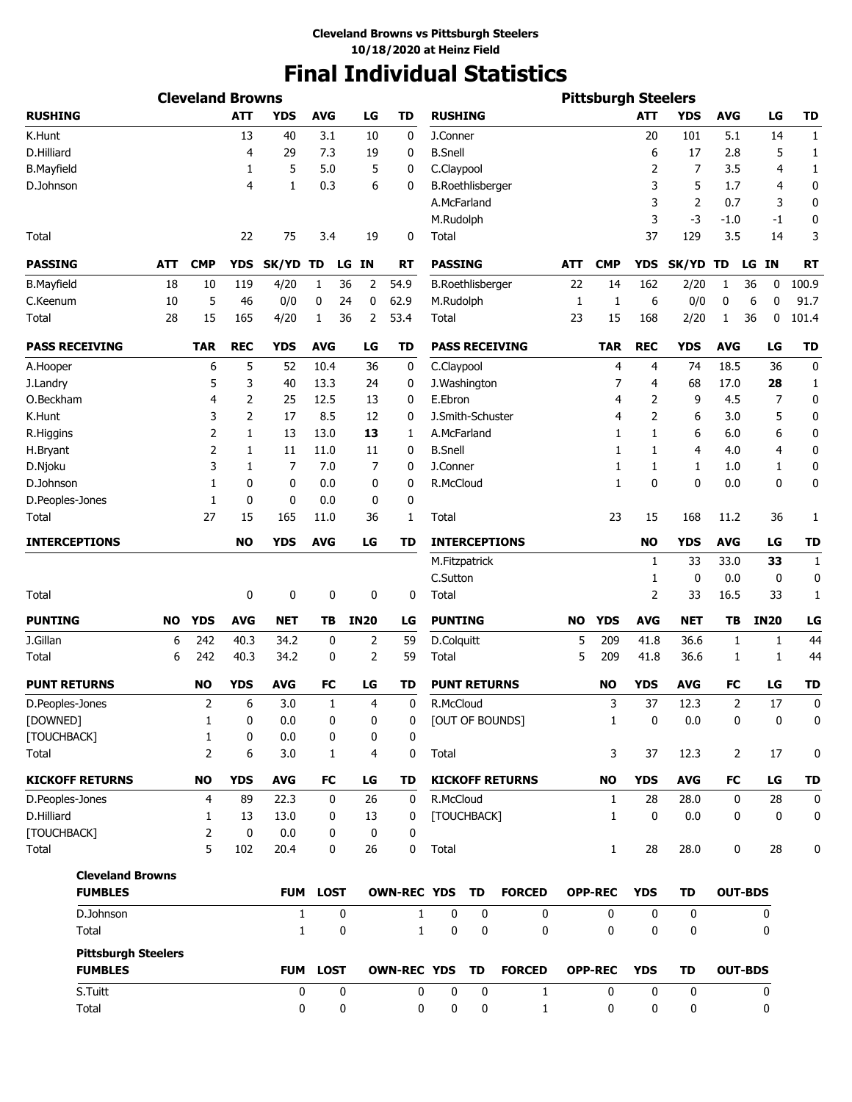# **Final Individual Statistics**

|                            |           | <b>Cleveland Browns</b> |                |              |             |    |             |                    |                         |             |                        |            | <b>Pittsburgh Steelers</b> |            |                |            |                 |             |
|----------------------------|-----------|-------------------------|----------------|--------------|-------------|----|-------------|--------------------|-------------------------|-------------|------------------------|------------|----------------------------|------------|----------------|------------|-----------------|-------------|
| <b>RUSHING</b>             |           |                         | <b>ATT</b>     | <b>YDS</b>   | <b>AVG</b>  |    | LG          | TD                 | <b>RUSHING</b>          |             |                        |            |                            | <b>ATT</b> | <b>YDS</b>     | <b>AVG</b> | LG              | TD          |
| K.Hunt                     |           |                         | 13             | 40           | 3.1         |    | 10          | 0                  | J.Conner                |             |                        |            |                            | 20         | 101            | 5.1        | 14              | $1\,$       |
| D.Hilliard                 |           |                         | 4              | 29           | 7.3         |    | 19          | 0                  | <b>B.Snell</b>          |             |                        |            |                            | 6          | 17             | 2.8        | 5               | 1           |
| <b>B.Mayfield</b>          |           |                         | 1              | 5            | 5.0         |    | 5           | 0                  | C.Claypool              |             |                        |            |                            | 2          | 7              | 3.5        | 4               | 1           |
| D.Johnson                  |           |                         | 4              | 1            | 0.3         |    | 6           | 0                  | <b>B.Roethlisberger</b> |             |                        |            |                            | 3          | 5              | 1.7        | 4               | 0           |
|                            |           |                         |                |              |             |    |             |                    | A.McFarland             |             |                        |            |                            | 3          | $\overline{2}$ | 0.7        | 3               | 0           |
|                            |           |                         |                |              |             |    |             |                    | M.Rudolph               |             |                        |            |                            | 3          | $-3$           | -1.0       | -1              | 0           |
| Total                      |           |                         | 22             | 75           | 3.4         |    | 19          | 0                  | Total                   |             |                        |            |                            | 37         | 129            | 3.5        | 14              | 3           |
| <b>PASSING</b>             | ATT       | <b>CMP</b>              | <b>YDS</b>     | SK/YD TD     |             | LG | <b>IN</b>   | <b>RT</b>          | <b>PASSING</b>          |             |                        | <b>ATT</b> | <b>CMP</b>                 | YDS        | SK/YD TD       |            | <b>IN</b><br>LG | RT          |
| <b>B.Mayfield</b>          | 18        | 10                      | 119            | 4/20         | 1           | 36 | 2           | 54.9               | <b>B.Roethlisberger</b> |             |                        | 22         | 14                         | 162        | 2/20           | 1          | 36<br>0         | 100.9       |
| C.Keenum                   | 10        | 5                       | 46             | 0/0          | 0           | 24 | 0           | 62.9               | M.Rudolph               |             |                        | 1          | 1                          | 6          | 0/0            | 0          | 6<br>0          | 91.7        |
| Total                      | 28        | 15                      | 165            | 4/20         | 1           | 36 | 2           | 53.4               | Total                   |             |                        | 23         | 15                         | 168        | 2/20           | 1          | 36<br>0         | 101.4       |
| <b>PASS RECEIVING</b>      |           | <b>TAR</b>              | <b>REC</b>     | <b>YDS</b>   | <b>AVG</b>  |    | LG          | <b>TD</b>          |                         |             | <b>PASS RECEIVING</b>  |            | <b>TAR</b>                 | <b>REC</b> | <b>YDS</b>     | <b>AVG</b> | LG              | <b>TD</b>   |
|                            |           | 6                       | 5              | 52           | 10.4        |    | 36          | 0                  | C.Claypool              |             |                        |            | $\overline{4}$             | 4          | 74             | 18.5       | 36              | $\mathbf 0$ |
| A.Hooper                   |           | 5                       |                | 40           | 13.3        |    | 24          |                    |                         |             |                        |            | 7                          |            | 68             | 17.0       | 28              |             |
| J.Landry                   |           |                         | 3              |              |             |    |             | 0                  | J. Washington           |             |                        |            |                            | 4          |                |            |                 | 1           |
| O.Beckham                  |           | 4                       | 2              | 25           | 12.5        |    | 13          | 0                  | E.Ebron                 |             |                        |            | 4                          | 2          | 9              | 4.5        | 7               | $\mathbf 0$ |
| K.Hunt                     |           | 3                       | $\overline{2}$ | 17           | 8.5         |    | 12          | 0                  | J.Smith-Schuster        |             |                        |            | 4                          | 2          | 6              | 3.0        | 5               | 0           |
| R.Higgins                  |           | $\overline{2}$          | 1              | 13           | 13.0        |    | 13          | 1                  | A.McFarland             |             |                        |            | 1                          | 1          | 6              | 6.0        | 6               | 0           |
| H.Bryant                   |           | $\overline{2}$          | 1              | 11           | 11.0        |    | 11          | 0                  | <b>B.Snell</b>          |             |                        |            | 1                          | 1          | 4              | 4.0        | 4               | 0           |
| D.Njoku                    |           | 3                       | 1              | 7            | 7.0         |    | 7           | 0                  | J.Conner                |             |                        |            | 1                          | 1          | 1              | 1.0        | 1               | 0           |
| D.Johnson                  |           | 1                       | 0              | 0            | 0.0         |    | 0           | 0                  | R.McCloud               |             |                        |            | $\mathbf{1}$               | 0          | $\mathbf 0$    | 0.0        | 0               | 0           |
| D.Peoples-Jones            |           | 1                       | 0              | 0            | 0.0         |    | 0           | 0                  |                         |             |                        |            |                            |            |                |            |                 |             |
| Total                      |           | 27                      | 15             | 165          | 11.0        |    | 36          | 1                  | Total                   |             |                        |            | 23                         | 15         | 168            | 11.2       | 36              | 1           |
| <b>INTERCEPTIONS</b>       |           |                         | <b>NO</b>      | <b>YDS</b>   | <b>AVG</b>  |    | LG          | TD                 |                         |             | <b>INTERCEPTIONS</b>   |            |                            | <b>NO</b>  | <b>YDS</b>     | <b>AVG</b> | LG              | <b>TD</b>   |
|                            |           |                         |                |              |             |    |             |                    | M.Fitzpatrick           |             |                        |            |                            | 1          | 33             | 33.0       | 33              | 1           |
|                            |           |                         |                |              |             |    |             |                    | C.Sutton                |             |                        |            |                            | 1          | 0              | 0.0        | 0               | 0           |
| Total                      |           |                         | 0              | 0            |             | 0  | 0           | 0                  | Total                   |             |                        |            |                            | 2          | 33             | 16.5       | 33              | 1           |
| <b>PUNTING</b>             | <b>NO</b> | <b>YDS</b>              | <b>AVG</b>     | <b>NET</b>   | TB          |    | <b>IN20</b> | LG                 | <b>PUNTING</b>          |             |                        | NO.        | <b>YDS</b>                 | <b>AVG</b> | <b>NET</b>     | TВ         | <b>IN20</b>     | LG          |
| J.Gillan                   | 6         | 242                     | 40.3           | 34.2         |             | 0  | 2           | 59                 | D.Colquitt              |             |                        | 5          | 209                        | 41.8       | 36.6           | 1          | 1               | 44          |
| Total                      | 6         | 242                     | 40.3           | 34.2         |             | 0  | 2           | 59                 | Total                   |             |                        | 5          | 209                        | 41.8       | 36.6           | 1          | 1               | 44          |
| <b>PUNT RETURNS</b>        |           | <b>NO</b>               | <b>YDS</b>     | <b>AVG</b>   | FC          |    | LG          | TD                 | <b>PUNT RETURNS</b>     |             |                        |            | <b>NO</b>                  | <b>YDS</b> | <b>AVG</b>     | FC         | LG              | <b>TD</b>   |
| D.Peoples-Jones            |           | $\overline{2}$          | 6              | 3.0          |             | 1  | 4           | $\mathbf 0$        | R.McCloud               |             |                        |            | 3                          | 37         | 12.3           | 2          | 17              | 0           |
| [DOWNED]                   |           | 1                       | 0              | 0.0          |             | 0  | 0           | 0                  |                         |             | [OUT OF BOUNDS]        |            | $\mathbf{1}$               | 0          | $0.0\,$        | 0          | 0               | 0           |
| [TOUCHBACK]                |           | 1                       | 0              | 0.0          |             | 0  | 0           | 0                  |                         |             |                        |            |                            |            |                |            |                 |             |
| Total                      |           | 2                       | 6              | 3.0          |             | 1  | 4           | 0                  | Total                   |             |                        |            | 3                          | 37         | 12.3           | 2          | 17              | 0           |
| <b>KICKOFF RETURNS</b>     |           | <b>NO</b>               | <b>YDS</b>     | <b>AVG</b>   | FC          |    | LG          | TD                 |                         |             | <b>KICKOFF RETURNS</b> |            | <b>NO</b>                  | <b>YDS</b> | <b>AVG</b>     | FC         | LG              | <b>TD</b>   |
| D.Peoples-Jones            |           | 4                       | 89             | 22.3         |             | 0  | 26          | 0                  | R.McCloud               |             |                        |            | $\mathbf{1}$               | 28         | 28.0           | 0          | 28              | 0           |
| D.Hilliard                 |           | 1                       | 13             | 13.0         |             | 0  | 13          | 0                  | [TOUCHBACK]             |             |                        |            | $\mathbf{1}$               | 0          | 0.0            | 0          | 0               | 0           |
| [TOUCHBACK]                |           | $\overline{2}$          | 0              | 0.0          |             | 0  | 0           | 0                  |                         |             |                        |            |                            |            |                |            |                 |             |
| Total                      |           | 5                       | 102            | 20.4         |             | 0  | 26          | 0                  | Total                   |             |                        |            | $\mathbf{1}$               | 28         | 28.0           | 0          | 28              | 0           |
| <b>Cleveland Browns</b>    |           |                         |                |              |             |    |             |                    |                         |             |                        |            |                            |            |                |            |                 |             |
| <b>FUMBLES</b>             |           |                         |                | <b>FUM</b>   | <b>LOST</b> |    |             | OWN-REC YDS TD     |                         |             | <b>FORCED</b>          |            | <b>OPP-REC</b>             | <b>YDS</b> | <b>TD</b>      |            | <b>OUT-BDS</b>  |             |
| D.Johnson                  |           |                         |                | $\mathbf{1}$ |             | 0  |             | $\mathbf{1}$       | $\mathbf 0$             | $\mathbf 0$ | 0                      |            | $\mathbf{0}$               | 0          | $\mathbf 0$    |            | 0               |             |
| Total                      |           |                         |                | $\mathbf{1}$ |             | 0  |             | $\mathbf{1}$       | 0                       | 0           | 0                      |            | 0                          | 0          | 0              |            | 0               |             |
| <b>Pittsburgh Steelers</b> |           |                         |                |              |             |    |             |                    |                         |             |                        |            |                            |            |                |            |                 |             |
| <b>FUMBLES</b>             |           |                         |                |              | FUM LOST    |    |             | <b>OWN-REC YDS</b> |                         | TD          | <b>FORCED</b>          |            | <b>OPP-REC</b>             | <b>YDS</b> | <b>TD</b>      |            | <b>OUT-BDS</b>  |             |
| S.Tuitt                    |           |                         |                |              | 0           | 0  |             | 0                  | 0                       | 0           | $\mathbf{1}$           |            | 0                          | 0          | 0              |            | 0               |             |
| Total                      |           |                         |                |              | 0           | 0  |             | 0                  | 0                       | 0           | $\mathbf{1}$           |            | 0                          | 0          | 0              |            | 0               |             |
|                            |           |                         |                |              |             |    |             |                    |                         |             |                        |            |                            |            |                |            |                 |             |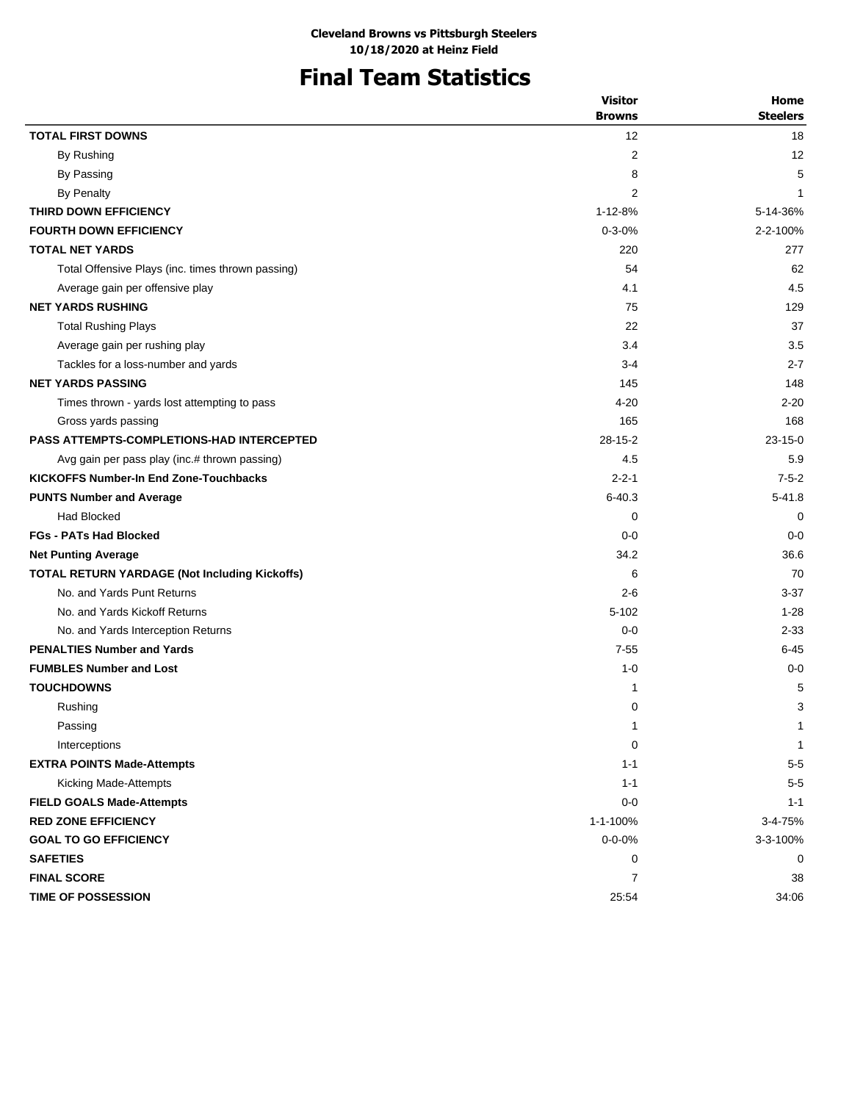# **Final Team Statistics**

|                                                      | <b>Visitor</b>    | Home            |
|------------------------------------------------------|-------------------|-----------------|
|                                                      | <b>Browns</b>     | <b>Steelers</b> |
| <b>TOTAL FIRST DOWNS</b>                             | $12 \overline{ }$ | 18              |
| By Rushing                                           | 2                 | 12              |
| By Passing                                           | 8                 | 5               |
| <b>By Penalty</b>                                    | 2                 | 1               |
| THIRD DOWN EFFICIENCY                                | 1-12-8%           | 5-14-36%        |
| <b>FOURTH DOWN EFFICIENCY</b>                        | $0 - 3 - 0%$      | 2-2-100%        |
| <b>TOTAL NET YARDS</b>                               | 220               | 277             |
| Total Offensive Plays (inc. times thrown passing)    | 54                | 62              |
| Average gain per offensive play                      | 4.1               | 4.5             |
| <b>NET YARDS RUSHING</b>                             | 75                | 129             |
| <b>Total Rushing Plays</b>                           | 22                | 37              |
| Average gain per rushing play                        | 3.4               | 3.5             |
| Tackles for a loss-number and yards                  | $3-4$             | $2 - 7$         |
| <b>NET YARDS PASSING</b>                             | 145               | 148             |
| Times thrown - yards lost attempting to pass         | $4 - 20$          | $2 - 20$        |
| Gross yards passing                                  | 165               | 168             |
| <b>PASS ATTEMPTS-COMPLETIONS-HAD INTERCEPTED</b>     | $28 - 15 - 2$     | $23 - 15 - 0$   |
| Avg gain per pass play (inc.# thrown passing)        | 4.5               | 5.9             |
| <b>KICKOFFS Number-In End Zone-Touchbacks</b>        | $2 - 2 - 1$       | $7 - 5 - 2$     |
| <b>PUNTS Number and Average</b>                      | $6 - 40.3$        | $5 - 41.8$      |
| <b>Had Blocked</b>                                   | 0                 | 0               |
| <b>FGs - PATs Had Blocked</b>                        | $0 - 0$           | $0 - 0$         |
| <b>Net Punting Average</b>                           | 34.2              | 36.6            |
| <b>TOTAL RETURN YARDAGE (Not Including Kickoffs)</b> | 6                 | 70              |
| No. and Yards Punt Returns                           | $2 - 6$           | $3 - 37$        |
| No. and Yards Kickoff Returns                        | $5 - 102$         | $1 - 28$        |
| No. and Yards Interception Returns                   | $0 - 0$           | $2 - 33$        |
| <b>PENALTIES Number and Yards</b>                    | $7 - 55$          | $6 - 45$        |
| <b>FUMBLES Number and Lost</b>                       | $1 - 0$           | $0 - 0$         |
| <b>TOUCHDOWNS</b>                                    | 1                 | 5               |
| Rushing                                              | 0                 | 3               |
| Passing                                              | 1                 | 1               |
| Interceptions                                        | 0                 | $\mathbf{1}$    |
| <b>EXTRA POINTS Made-Attempts</b>                    | $1 - 1$           | $5-5$           |
| Kicking Made-Attempts                                | $1 - 1$           | $5-5$           |
| <b>FIELD GOALS Made-Attempts</b>                     | $0 - 0$           | $1 - 1$         |
| <b>RED ZONE EFFICIENCY</b>                           | 1-1-100%          | 3-4-75%         |
| <b>GOAL TO GO EFFICIENCY</b>                         | $0 - 0 - 0\%$     | 3-3-100%        |
| <b>SAFETIES</b>                                      | 0                 | 0               |
| <b>FINAL SCORE</b>                                   | 7                 | 38              |
| TIME OF POSSESSION                                   | 25:54             | 34:06           |
|                                                      |                   |                 |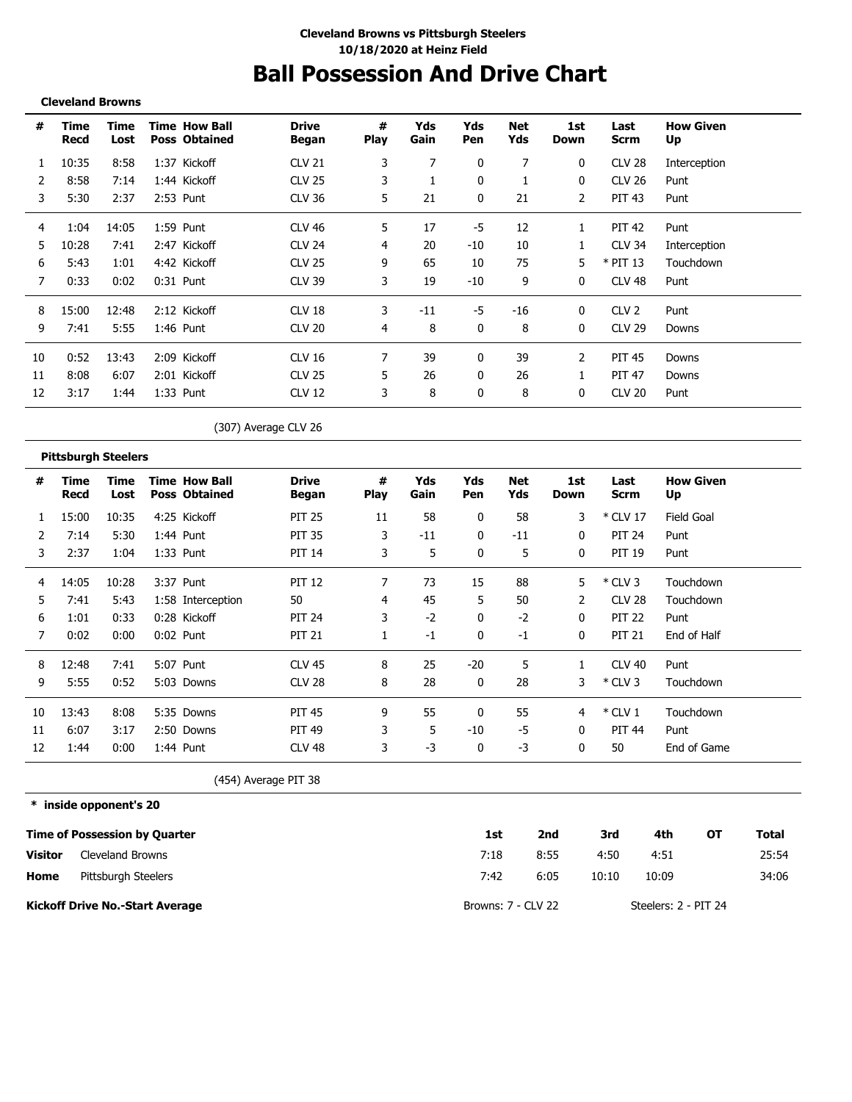# **Ball Possession And Drive Chart**

**Cleveland Browns**

| #  | Time<br>Recd | Time<br>Lost | <b>Time How Ball</b><br><b>Poss Obtained</b> | <b>Drive</b><br>Began | #<br><b>Play</b> | Yds<br>Gain | Yds<br>Pen   | Net<br>Yds | 1st<br>Down  | Last<br><b>Scrm</b> | <b>How Given</b><br>Up |
|----|--------------|--------------|----------------------------------------------|-----------------------|------------------|-------------|--------------|------------|--------------|---------------------|------------------------|
|    | 10:35        | 8:58         | 1:37 Kickoff                                 | <b>CLV 21</b>         | 3                | 7           | 0            |            | $\mathbf{0}$ | <b>CLV 28</b>       | Interception           |
| 2  | 8:58         | 7:14         | 1:44 Kickoff                                 | <b>CLV 25</b>         | 3                |             | 0            |            | 0            | CLV 26              | Punt                   |
| 3  | 5:30         | 2:37         | 2:53 Punt                                    | <b>CLV 36</b>         | 5.               | 21          | 0            | 21         | 2            | <b>PIT 43</b>       | Punt                   |
| 4  | 1:04         | 14:05        | 1:59 Punt                                    | <b>CLV 46</b>         | 5.               | 17          | -5           | 12         | 1            | <b>PIT 42</b>       | Punt                   |
| 5. | 10:28        | 7:41         | 2:47 Kickoff                                 | <b>CLV 24</b>         | 4                | 20          | $-10$        | 10         | 1            | <b>CLV 34</b>       | Interception           |
| 6  | 5:43         | 1:01         | 4:42 Kickoff                                 | <b>CLV 25</b>         | 9                | 65          | 10           | 75         | 5.           | $*$ PIT 13          | Touchdown              |
|    | 0:33         | 0:02         | $0:31$ Punt                                  | <b>CLV 39</b>         | 3                | 19          | $-10$        | 9          | $\Omega$     | CLV 48              | Punt                   |
| 8  | 15:00        | 12:48        | 2:12 Kickoff                                 | CLV 18                | 3                | $-11$       | -5           | -16        | $\mathbf{0}$ | CLV <sub>2</sub>    | Punt                   |
| 9  | 7:41         | 5:55         | $1:46$ Punt                                  | <b>CLV 20</b>         | 4                | 8           | $\mathbf{0}$ | 8          | $\Omega$     | <b>CLV 29</b>       | Downs                  |
| 10 | 0:52         | 13:43        | 2:09 Kickoff                                 | CLV 16                |                  | 39          | 0            | 39         | 2            | PIT 45              | Downs                  |
| 11 | 8:08         | 6:07         | 2:01 Kickoff                                 | <b>CLV 25</b>         | 5.               | 26          | 0            | 26         | 1            | <b>PIT 47</b>       | Downs                  |
| 12 | 3:17         | 1:44         | $1:33$ Punt                                  | <b>CLV 12</b>         | 3                | 8           | 0            | 8          | $\mathbf{0}$ | <b>CLV 20</b>       | Punt                   |
|    |              |              |                                              |                       |                  |             |              |            |              |                     |                        |

(307) Average CLV 26

#### **Pittsburgh Steelers**

| #  | Time<br>Recd | Time<br>Lost | <b>Time How Ball</b><br><b>Poss Obtained</b> | <b>Drive</b><br>Began | #<br><b>Play</b> | Yds<br>Gain | Yds<br>Pen | Net<br>Yds | 1st<br>Down   | Last<br>Scrm  | <b>How Given</b><br>Up |
|----|--------------|--------------|----------------------------------------------|-----------------------|------------------|-------------|------------|------------|---------------|---------------|------------------------|
|    | 15:00        | 10:35        | 4:25 Kickoff                                 | <b>PIT 25</b>         | 11               | 58          | 0          | 58         | 3             | * CLV 17      | Field Goal             |
|    | 7:14         | 5:30         | 1:44 Punt                                    | <b>PIT 35</b>         | 3                | $-11$       | 0          | $-11$      | 0             | <b>PIT 24</b> | Punt                   |
| 3  | 2:37         | 1:04         | 1:33 Punt                                    | <b>PIT 14</b>         | 3                | 5           | 0          | 5          | 0             | <b>PIT 19</b> | Punt                   |
| 4  | 14:05        | 10:28        | 3:37 Punt                                    | <b>PIT 12</b>         | 7                | 73          | 15         | 88         | 5             | $*$ CLV 3     | Touchdown              |
| 5. | 7:41         | 5:43         | 1:58 Interception                            | 50                    | 4                | 45          | 5          | 50         | $\mathcal{P}$ | <b>CLV 28</b> | Touchdown              |
| 6  | 1:01         | 0:33         | 0:28 Kickoff                                 | <b>PIT 24</b>         | 3                | $-2$        | 0          | $-2$       | 0             | <b>PIT 22</b> | Punt                   |
|    | 0:02         | 0:00         | $0:02$ Punt                                  | <b>PIT 21</b>         |                  | $-1$        | 0          | $-1$       | $\mathbf{0}$  | <b>PIT 21</b> | End of Half            |
| 8  | 12:48        | 7:41         | 5:07 Punt                                    | <b>CLV 45</b>         | 8                | 25          | $-20$      | 5.         |               | <b>CLV 40</b> | Punt                   |
| 9  | 5:55         | 0:52         | 5:03 Downs                                   | <b>CLV 28</b>         | 8                | 28          | 0          | 28         | 3             | $*$ CLV 3     | Touchdown              |
| 10 | 13:43        | 8:08         | 5:35 Downs                                   | <b>PIT 45</b>         | 9                | 55          |            | 55         | 4             | $*$ CLV 1     | Touchdown              |
| 11 | 6:07         | 3:17         | 2:50 Downs                                   | <b>PIT 49</b>         | 3                | 5           | -10        | -5         | $\mathbf{0}$  | <b>PIT 44</b> | Punt                   |
| 12 | 1:44         | 0:00         | 1:44 Punt                                    | CLV <sub>48</sub>     | 3                | $-3$        | 0          | -3         | $\mathbf{0}$  | 50            | End of Game            |

(454) Average PIT 38

**\* inside opponent's 20**

|                | <b>Time of Possession by Quarter</b> | 1st                | 2nd  | 3rd   | 4th                  | ΟТ | Total |
|----------------|--------------------------------------|--------------------|------|-------|----------------------|----|-------|
| <b>Visitor</b> | Cleveland Browns                     | 7:18               | 8:55 | 4:50  | 4:51                 |    | 25:54 |
| Home           | Pittsburgh Steelers                  | 7:42               | 6:05 | 10:10 | 10:09                |    | 34:06 |
|                | Kickoff Drive No.-Start Average      | Browns: 7 - CLV 22 |      |       | Steelers: 2 - PIT 24 |    |       |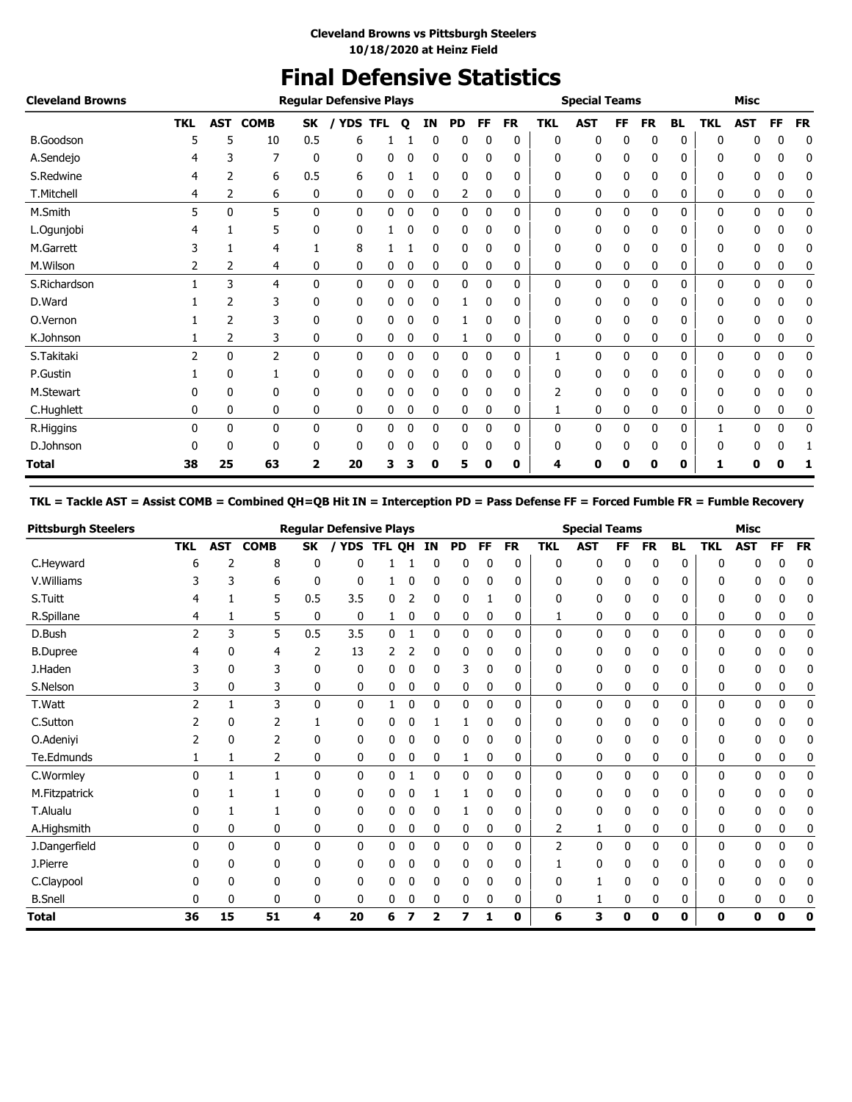## **Final Defensive Statistics**

| <b>Cleveland Browns</b> |                |              |             |              | <b>Regular Defensive Plays</b> |            |   |    |           |              |           |              | <b>Special Teams</b> |    |           |           |            | <b>Misc</b> |           |           |
|-------------------------|----------------|--------------|-------------|--------------|--------------------------------|------------|---|----|-----------|--------------|-----------|--------------|----------------------|----|-----------|-----------|------------|-------------|-----------|-----------|
|                         | <b>TKL</b>     | AST          | <b>COMB</b> | <b>SK</b>    | <b>YDS</b>                     | <b>TFL</b> | Q | ΙN | <b>PD</b> | <b>FF</b>    | <b>FR</b> | <b>TKL</b>   | <b>AST</b>           | FF | <b>FR</b> | <b>BL</b> | <b>TKL</b> | <b>AST</b>  | <b>FF</b> | <b>FR</b> |
| <b>B.Goodson</b>        |                | 5            | 10          | 0.5          | 6                              |            |   | 0  | 0         |              | 0         | 0            | 0                    | 0  | 0         | 0         | O          |             |           | 0         |
| A.Sendejo               |                | 3            |             | 0            | 0                              | 0          | 0 | 0  | 0         | 0            | 0         | 0            | 0                    | 0  | 0         | 0         | 0          | 0           | 0         | 0         |
| S.Redwine               |                | 2            | 6           | 0.5          | 6                              | 0          |   | 0  | 0         | 0            | 0         | 0            | 0                    | 0  | 0         | 0         | 0          | 0           | 0         | 0         |
| T.Mitchell              | 4              | 2            | 6           | 0            | 0                              | 0          | 0 | 0  | 2         | 0            | 0         | 0            | 0                    | 0  | 0         | 0         | 0          | 0           | 0         | 0         |
| M.Smith                 | 5              | $\mathbf{0}$ | 5           | $\mathbf{0}$ | $\mathbf{0}$                   | 0          | 0 | 0  | 0         | $\Omega$     | 0         | $\mathbf{0}$ | 0                    | 0  | 0         | 0         | 0          | 0           | 0         | 0         |
| L.Ogunjobi              |                |              | 5           | 0            | 0                              |            | 0 | 0  | 0         | $\mathbf{0}$ | 0         | 0            | 0                    | 0  | 0         | 0         | 0          | 0           | 0         | 0         |
| M.Garrett               |                |              | 4           |              | 8                              |            |   | 0  | 0         | 0            | 0         | 0            | 0                    | 0  | 0         | 0         | 0          | 0           | 0         | 0         |
| M.Wilson                | 2              | 2            | 4           | 0            | 0                              | 0          | 0 | 0  | 0         | 0            | 0         | 0            | 0                    | 0  | 0         | 0         | 0          | 0           | 0         | 0         |
| S.Richardson            |                | 3            | 4           | 0            | 0                              | 0          | 0 | 0  | 0         | 0            | 0         | 0            | 0                    | 0  | 0         | 0         | 0          | 0           | 0         | 0         |
| D.Ward                  |                | 2            | 3           | 0            | 0                              | 0          | 0 | 0  | 1         | 0            | 0         | 0            | 0                    | 0  | 0         | 0         | 0          | 0           | 0         | 0         |
| O.Vernon                |                | 2            | 3           | 0            | 0                              | 0          | 0 | 0  |           | 0            | 0         | 0            | 0                    | 0  | 0         | 0         | 0          | 0           | 0         | 0         |
| K.Johnson               |                | 2            | 3           | 0            | 0                              | 0          | 0 | 0  |           | 0            | 0         | 0            | 0                    | 0  | 0         | 0         | 0          | 0           | 0         | 0         |
| S.Takitaki              | $\overline{2}$ | 0            | 2           | 0            | 0                              | 0          | 0 | 0  | 0         | $\mathbf{0}$ | 0         | 1            | 0                    | 0  | 0         | 0         | 0          | 0           | 0         | 0         |
| P.Gustin                |                | 0            |             | 0            | 0                              | 0          | 0 | 0  | 0         | 0            | 0         | 0            | 0                    | 0  | 0         | 0         | 0          | 0           | 0         | 0         |
| M.Stewart               |                | 0            | 0           | 0            | 0                              | 0          | 0 | 0  | 0         |              | 0         | 2            | 0                    | 0  | 0         | 0         | 0          | 0           | 0         | 0         |
| C.Hughlett              | 0              | 0            | 0           | 0            | 0                              | 0          | 0 | 0  | 0         | 0            | 0         |              | 0                    | 0  | 0         | 0         | 0          | 0           | 0         | 0         |
| R.Higgins               | 0              | 0            | 0           | 0            | 0                              | 0          | 0 | 0  | 0         | 0            | 0         | 0            | 0                    | 0  | 0         | 0         |            | 0           | 0         | 0         |
| D.Johnson               |                | 0            | 0           | 0            | 0                              | 0          | 0 | 0  | 0         | 0            | 0         | 0            | 0                    | 0  | 0         | 0         | 0          | 0           | 0         |           |
| Total                   | 38             | 25           | 63          | 2            | 20                             | 3          |   | 0  | 5         | o            | 0         | 4            | 0                    |    | 0         | 0         |            | 0           |           |           |

#### **TKL = Tackle AST = Assist COMB = Combined QH=QB Hit IN = Interception PD = Pass Defense FF = Forced Fumble FR = Fumble Recovery**

| <b>Pittsburgh Steelers</b> |            |            |                |              | <b>Regular Defensive Plays</b> |            |   |    |    |              |           |            | <b>Special Teams</b> |    |           |              |            | <b>Misc</b> |              |           |
|----------------------------|------------|------------|----------------|--------------|--------------------------------|------------|---|----|----|--------------|-----------|------------|----------------------|----|-----------|--------------|------------|-------------|--------------|-----------|
|                            | <b>TKL</b> | <b>AST</b> | <b>COMB</b>    | SK           |                                | YDS TFL QH |   | ΙN | PD | <b>FF</b>    | <b>FR</b> | <b>TKL</b> | <b>AST</b>           | FF | <b>FR</b> | <b>BL</b>    | <b>TKL</b> | <b>AST</b>  | <b>FF</b>    | <b>FR</b> |
| C.Heyward                  | 6          |            | 8              | 0            |                                |            |   |    |    |              | 0         | 0          | 0                    | 0  | 0         | 0            |            |             |              | 0         |
| V. Williams                | 3          | 3          | 6              | 0            | 0                              |            | 0 | 0  | 0  | 0            | 0         | 0          | 0                    | 0  | 0         | 0            | 0          | 0           | 0            | 0         |
| S.Tuitt                    |            |            | 5              | 0.5          | 3.5                            | 0          |   | 0  | 0  |              | 0         | 0          | 0                    | 0  | 0         | 0            | 0          | 0           | O            | 0         |
| R.Spillane                 | 4          |            | 5              | $\mathbf{0}$ | $\mathbf 0$                    |            | 0 | 0  | 0  | 0            | 0         |            | 0                    | 0  | 0         | 0            | 0          | 0           | 0            | 0         |
| D.Bush                     | 2          | 3          | 5              | 0.5          | 3.5                            | 0          |   | 0  | 0  | 0            | 0         | 0          | 0                    | 0  | 0         | 0            | 0          | 0           | 0            | 0         |
| <b>B.Dupree</b>            |            | 0          | 4              | 2            | 13                             |            |   | 0  | 0  |              | 0         | 0          | 0                    | 0  | 0         | 0            | 0          |             |              | 0         |
| J.Haden                    |            | 0          | 3              | 0            | 0                              | 0          | 0 | 0  | 3  | 0            | 0         | 0          | 0                    | 0  | 0         | 0            | 0          | 0           |              | 0         |
| S.Nelson                   |            | 0          | 3              | 0            | 0                              | 0          | 0 | 0  | 0  | 0            | 0         | 0          | 0                    | 0  | 0         | 0            | 0          | 0           | 0            | 0         |
| T.Watt                     |            |            | 3              | $\mathbf{0}$ | 0                              |            | 0 | 0  | 0  | 0            | 0         | 0          | 0                    | 0  | 0         | 0            | 0          | 0           | 0            | 0         |
| C.Sutton                   |            | 0          | $\overline{2}$ |              | 0                              |            | 0 |    |    | 0            | 0         | 0          | 0                    | 0  | 0         | 0            | 0          | 0           |              | 0         |
| O.Adeniyi                  |            | 0          | 2              | 0            | 0                              | 0          | 0 | 0  | 0  | 0            | 0         | 0          | 0                    | 0  | 0         | 0            | 0          | 0           |              | 0         |
| Te.Edmunds                 |            |            | 2              | 0            | 0                              | 0          | 0 | 0  |    | 0            | 0         | 0          | 0                    | 0  | 0         | 0            | 0          | 0           | 0            | 0         |
| C.Wormley                  | 0          |            | $\mathbf{1}$   | $\mathbf{0}$ | 0                              | 0          |   | 0  | 0  | $\mathbf{0}$ | 0         | 0          | 0                    | 0  | 0         | $\mathbf{0}$ | 0          | 0           | $\mathbf{0}$ | 0         |
| M.Fitzpatrick              |            |            |                | 0            | 0                              | 0          | 0 |    |    | 0            | 0         | 0          | 0                    | 0  | 0         | 0            | 0          | 0           |              | 0         |
| T.Alualu                   |            |            |                | 0            | 0                              | 0          |   |    |    |              | 0         | 0          | 0                    |    |           | 0            |            | n           |              | 0         |
| A.Highsmith                | 0          | 0          | 0              | 0            | 0                              | 0          | 0 | 0  | 0  | 0            | 0         | 2          | 1                    | 0  | 0         | 0            | 0          | 0           | 0            | 0         |
| J.Dangerfield              | 0          | 0          | $\mathbf{0}$   | $\mathbf{0}$ | 0                              | 0          | 0 | 0  | 0  | 0            | 0         | 2          | $\mathbf{0}$         | 0  | 0         | $\mathbf{0}$ | 0          | 0           | 0            | 0         |
| J.Pierre                   |            | 0          | $\Omega$       | $\Omega$     | 0                              | 0          | 0 | 0  | 0  | 0            | 0         |            | 0                    | 0  | 0         | 0            | 0          | 0           |              | 0         |
| C.Claypool                 |            | 0          | 0              | 0            | 0                              | 0          | 0 | 0  | 0  | 0            | 0         | 0          |                      | 0  | 0         | 0            | 0          | 0           |              | 0         |
| <b>B.Snell</b>             | 0          | 0          | 0              | 0            | 0                              | 0          | 0 | 0  | 0  | 0            | 0         | 0          | 1                    | 0  | 0         | 0            | 0          | 0           | 0            | 0         |
| <b>Total</b>               | 36         | 15         | 51             | 4            | 20                             | 6          |   | 2  | 7  | 1            | 0         | 6          | 3                    | 0  | 0         | 0            | 0          | 0           | 0            | 0         |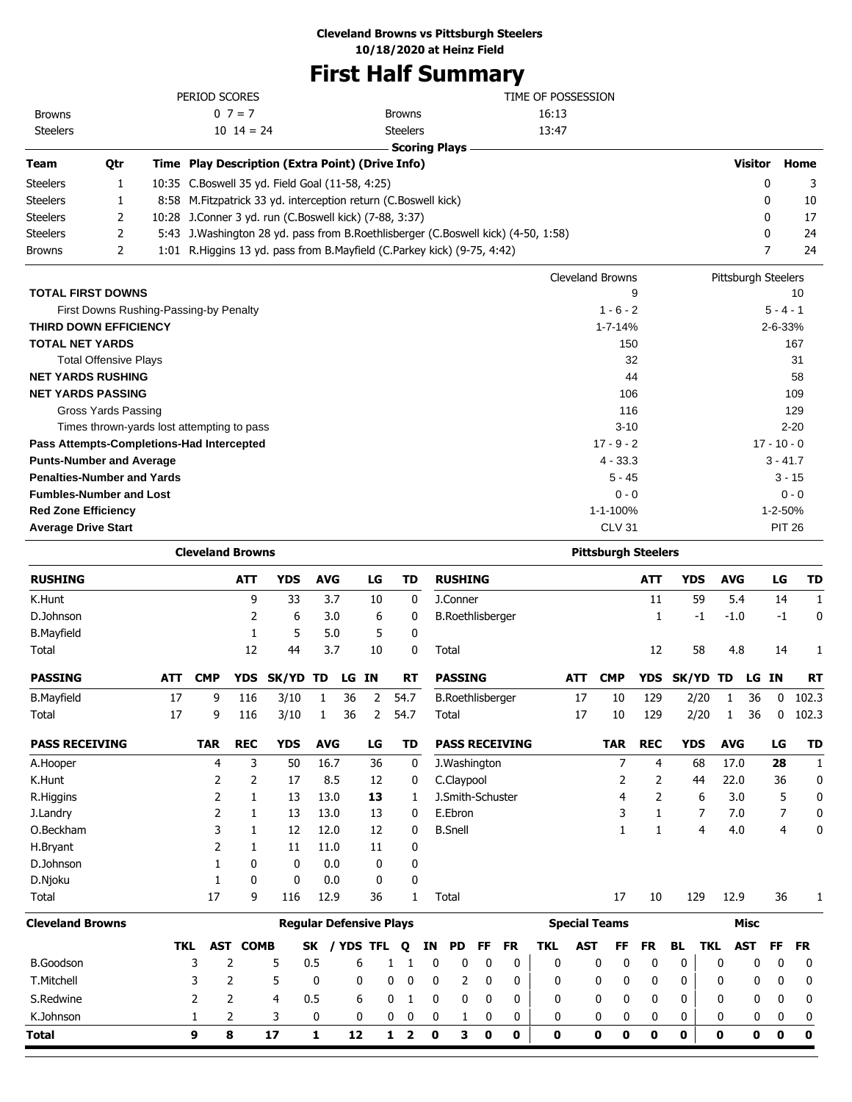### **Cleveland Browns vs Pittsburgh Steelers**

**10/18/2020 at Heinz Field**

### **First Half Summary**

l.

|                                            |     |            |                         |                 |                                                                                   |                |       |                |                                | ı ilət fiali Ədilililal y |                         |           |                    |            |                            |            |                   |                     |             |               |           |
|--------------------------------------------|-----|------------|-------------------------|-----------------|-----------------------------------------------------------------------------------|----------------|-------|----------------|--------------------------------|---------------------------|-------------------------|-----------|--------------------|------------|----------------------------|------------|-------------------|---------------------|-------------|---------------|-----------|
|                                            |     |            | PERIOD SCORES           |                 |                                                                                   |                |       |                |                                |                           |                         |           | TIME OF POSSESSION |            |                            |            |                   |                     |             |               |           |
| <b>Browns</b>                              |     |            |                         | $0 \ 7 = 7$     |                                                                                   |                |       |                | <b>Browns</b>                  |                           |                         |           | 16:13              |            |                            |            |                   |                     |             |               |           |
| <b>Steelers</b>                            |     |            |                         | $10 \t14 = 24$  |                                                                                   |                |       |                | <b>Steelers</b>                |                           |                         |           | 13:47              |            |                            |            |                   |                     |             |               |           |
| Team                                       | Qtr |            |                         |                 | Time Play Description (Extra Point) (Drive Info)                                  |                |       |                |                                | <b>Scoring Plays</b>      |                         |           |                    |            |                            |            |                   |                     | Visitor     |               | Home      |
|                                            | 1   |            |                         |                 | 10:35 C.Boswell 35 yd. Field Goal (11-58, 4:25)                                   |                |       |                |                                |                           |                         |           |                    |            |                            |            |                   |                     | 0           |               |           |
| Steelers<br>Steelers                       | 1   |            |                         |                 | 8:58 M. Fitzpatrick 33 yd. interception return (C. Boswell kick)                  |                |       |                |                                |                           |                         |           |                    |            |                            |            |                   |                     | 0           |               | 3<br>10   |
| Steelers                                   | 2   |            |                         |                 | 10:28 J.Conner 3 yd. run (C.Boswell kick) (7-88, 3:37)                            |                |       |                |                                |                           |                         |           |                    |            |                            |            |                   |                     | 0           |               | 17        |
| Steelers                                   | 2   |            |                         |                 | 5:43 J.Washington 28 yd. pass from B.Roethlisberger (C.Boswell kick) (4-50, 1:58) |                |       |                |                                |                           |                         |           |                    |            |                            |            |                   |                     | 0           |               | 24        |
| Browns                                     | 2   |            |                         |                 | 1:01 R.Higgins 13 yd. pass from B.Mayfield (C.Parkey kick) (9-75, 4:42)           |                |       |                |                                |                           |                         |           |                    |            |                            |            |                   |                     | 7           |               | 24        |
|                                            |     |            |                         |                 |                                                                                   |                |       |                |                                |                           |                         |           |                    |            |                            |            |                   |                     |             |               |           |
|                                            |     |            |                         |                 |                                                                                   |                |       |                |                                |                           |                         |           |                    |            | <b>Cleveland Browns</b>    |            |                   | Pittsburgh Steelers |             |               |           |
| <b>TOTAL FIRST DOWNS</b>                   |     |            |                         |                 |                                                                                   |                |       |                |                                |                           |                         |           |                    |            |                            | 9          |                   |                     |             |               | 10        |
| First Downs Rushing-Passing-by Penalty     |     |            |                         |                 |                                                                                   |                |       |                |                                |                           |                         |           |                    |            | $1 - 6 - 2$                |            |                   |                     |             | $5 - 4 - 1$   |           |
| <b>THIRD DOWN EFFICIENCY</b>               |     |            |                         |                 |                                                                                   |                |       |                |                                |                           |                         |           |                    |            | $1 - 7 - 14%$              |            |                   |                     |             | 2-6-33%       |           |
| <b>TOTAL NET YARDS</b>                     |     |            |                         |                 |                                                                                   |                |       |                |                                |                           |                         |           |                    |            | 150                        |            |                   |                     |             |               | 167       |
| <b>Total Offensive Plays</b>               |     |            |                         |                 |                                                                                   |                |       |                |                                |                           |                         |           |                    |            | 32                         |            |                   |                     |             |               | 31        |
| <b>NET YARDS RUSHING</b>                   |     |            |                         |                 |                                                                                   |                |       |                |                                |                           |                         |           |                    |            | 44                         |            |                   |                     |             |               | 58        |
| <b>NET YARDS PASSING</b>                   |     |            |                         |                 |                                                                                   |                |       |                |                                |                           |                         |           |                    |            | 106                        |            |                   |                     |             |               | 109       |
| Gross Yards Passing                        |     |            |                         |                 |                                                                                   |                |       |                |                                |                           |                         |           |                    |            | 116                        |            |                   |                     |             |               | 129       |
| Times thrown-yards lost attempting to pass |     |            |                         |                 |                                                                                   |                |       |                |                                |                           |                         |           |                    |            | $3 - 10$                   |            |                   |                     |             | $2 - 20$      |           |
| Pass Attempts-Completions-Had Intercepted  |     |            |                         |                 |                                                                                   |                |       |                |                                |                           |                         |           |                    |            | $17 - 9 - 2$               |            |                   |                     |             | $17 - 10 - 0$ |           |
| <b>Punts-Number and Average</b>            |     |            |                         |                 |                                                                                   |                |       |                |                                |                           |                         |           |                    |            | $4 - 33.3$                 |            |                   |                     |             | $3 - 41.7$    |           |
| <b>Penalties-Number and Yards</b>          |     |            |                         |                 |                                                                                   |                |       |                |                                |                           |                         |           |                    |            | 5 - 45                     |            |                   |                     |             | 3 - 15        |           |
| <b>Fumbles-Number and Lost</b>             |     |            |                         |                 |                                                                                   |                |       |                |                                |                           |                         |           |                    |            | $0 - 0$                    |            |                   |                     |             | $0 - 0$       |           |
| <b>Red Zone Efficiency</b>                 |     |            |                         |                 |                                                                                   |                |       |                |                                |                           |                         |           |                    |            | 1-1-100%                   |            |                   |                     |             | 1-2-50%       |           |
| <b>Average Drive Start</b>                 |     |            |                         |                 |                                                                                   |                |       |                |                                |                           |                         |           |                    |            | <b>CLV 31</b>              |            |                   |                     |             | <b>PIT 26</b> |           |
|                                            |     |            | <b>Cleveland Browns</b> |                 |                                                                                   |                |       |                |                                |                           |                         |           |                    |            | <b>Pittsburgh Steelers</b> |            |                   |                     |             |               |           |
| <b>RUSHING</b>                             |     |            |                         | <b>ATT</b>      | YDS                                                                               | <b>AVG</b>     |       | LG             | TD                             | <b>RUSHING</b>            |                         |           |                    |            |                            | ATT        | YDS               | <b>AVG</b>          |             | LG            | TD        |
| K.Hunt                                     |     |            |                         | 9               | 33                                                                                | 3.7            |       | 10             | 0                              | J.Conner                  |                         |           |                    |            |                            | 11         | 59                | 5.4                 |             | 14            | 1         |
| D.Johnson                                  |     |            |                         | 2               | 6                                                                                 | 3.0            |       | 6              | 0                              |                           | <b>B.Roethlisberger</b> |           |                    |            |                            | 1          | $-1$              | $-1.0$              |             | $-1$          | 0         |
| <b>B.Mayfield</b>                          |     |            |                         | 1               | 5                                                                                 | 5.0            |       | 5              | 0                              |                           |                         |           |                    |            |                            |            |                   |                     |             |               |           |
| Total                                      |     |            |                         | 12              | 44                                                                                | 3.7            |       | 10             | 0                              | Total                     |                         |           |                    |            |                            | 12         | 58                | 4.8                 |             | 14            | 1         |
| <b>PASSING</b>                             |     | <b>ATT</b> | <b>CMP</b>              |                 | YDS SK/YD TD                                                                      |                | LG IN |                | RT                             | <b>PASSING</b>            |                         |           |                    | <b>ATT</b> | <b>CMP</b>                 |            | YDS SK/YD TD      |                     | LG IN       |               | <b>RT</b> |
| <b>B.Mayfield</b>                          |     | 17         | 9                       | 116             | 3/10                                                                              | -1             | 36    | 2              | 54.7                           |                           | <b>B.Roethlisberger</b> |           |                    | 17         | 10                         | 129        | 2/20              | -1                  | 36          |               | $0$ 102.3 |
| Total                                      |     | 17         | 9                       | 116             | 3/10                                                                              | 1              | 36    | $\overline{2}$ | 54.7                           | Total                     |                         |           |                    | 17         | 10                         | 129        | 2/20              | 1                   | 36          | 0             | 102.3     |
| <b>PASS RECEIVING</b>                      |     |            | <b>TAR</b>              | <b>REC</b>      | <b>YDS</b>                                                                        | <b>AVG</b>     |       | LG             | TD                             |                           | <b>PASS RECEIVING</b>   |           |                    |            | <b>TAR</b>                 | <b>REC</b> | <b>YDS</b>        | <b>AVG</b>          |             | LG            | TD        |
| A.Hooper                                   |     |            | $\overline{4}$          | 3               | 50                                                                                | 16.7           |       | 36             | 0                              |                           | J.Washington            |           |                    |            | 7                          | 4          | 68                | 17.0                |             | 28            | 1         |
| K.Hunt                                     |     |            | 2                       | 2               | 17                                                                                | 8.5            |       | 12             | 0                              | C.Claypool                |                         |           |                    |            | 2                          | 2          | 44                | 22.0                |             | 36            | 0         |
| R.Higgins                                  |     |            | 2                       | 1               | 13                                                                                | 13.0           |       | 13             | 1                              |                           | J.Smith-Schuster        |           |                    |            | 4                          | 2          | 6                 | 3.0                 |             | 5             | 0         |
| J.Landry                                   |     |            | 2                       | 1               | 13                                                                                | 13.0           |       | 13             | 0                              | E.Ebron                   |                         |           |                    |            | 3                          | 1          | 7                 | 7.0                 |             | 7             | 0         |
| O.Beckham                                  |     |            | 3                       | 1               | 12                                                                                | 12.0           |       | 12             | 0                              | <b>B.Snell</b>            |                         |           |                    |            | 1                          | 1          | 4                 | 4.0                 |             | 4             | 0         |
| H.Bryant                                   |     |            | 2                       | 1               | 11                                                                                | 11.0           |       | 11             | 0                              |                           |                         |           |                    |            |                            |            |                   |                     |             |               |           |
| D.Johnson                                  |     |            | 1                       | 0               | 0                                                                                 | 0.0            |       | 0              | 0                              |                           |                         |           |                    |            |                            |            |                   |                     |             |               |           |
| D.Njoku                                    |     |            | 1                       | 0               | 0                                                                                 | 0.0            |       | 0              | 0                              |                           |                         |           |                    |            |                            |            |                   |                     |             |               |           |
| Total                                      |     |            | 17                      | 9               | 116                                                                               | 12.9           |       | 36             | 1                              | Total                     |                         |           |                    |            | 17                         | 10         | 129               | 12.9                |             | 36            | 1         |
| <b>Cleveland Browns</b>                    |     |            |                         |                 |                                                                                   |                |       |                | <b>Regular Defensive Plays</b> |                           |                         |           |                    |            | <b>Special Teams</b>       |            |                   |                     | <b>Misc</b> |               |           |
|                                            |     | TKL        |                         | <b>AST COMB</b> |                                                                                   | SK / YDS TFL Q |       |                |                                | <b>PD</b><br>IN           | FF                      | <b>FR</b> | <b>TKL</b>         | <b>AST</b> | FF                         | FR.        | BL.<br><b>TKL</b> |                     | AST         | FF            | <b>FR</b> |
| <b>B.Goodson</b>                           |     |            | 3                       | 2               | 5                                                                                 | 0.5            | 6     |                | 1<br>1                         | 0                         | $\pmb{0}$<br>0          | 0         | 0                  |            | 0<br>0                     | 0          | 0                 | 0                   | 0           | 0             | 0         |

T.Mitchell 3 2 5 0 0 0 0 0 2 0 0 0 0 0 0 0 0 0 0 0 S.Redwine 2 2 4 0.5 6 0 1 0 0 0 0 0 0 0 0 0 0 0 0 0 K.Johnson 1 2 3 0 0 0 0 0 1 0 0 0 0 0 0 0 0 0 0 0 **Total 9 8 17 1 12 1 2 0 3 0 0 0 0 0 0 0 0 0 0 0**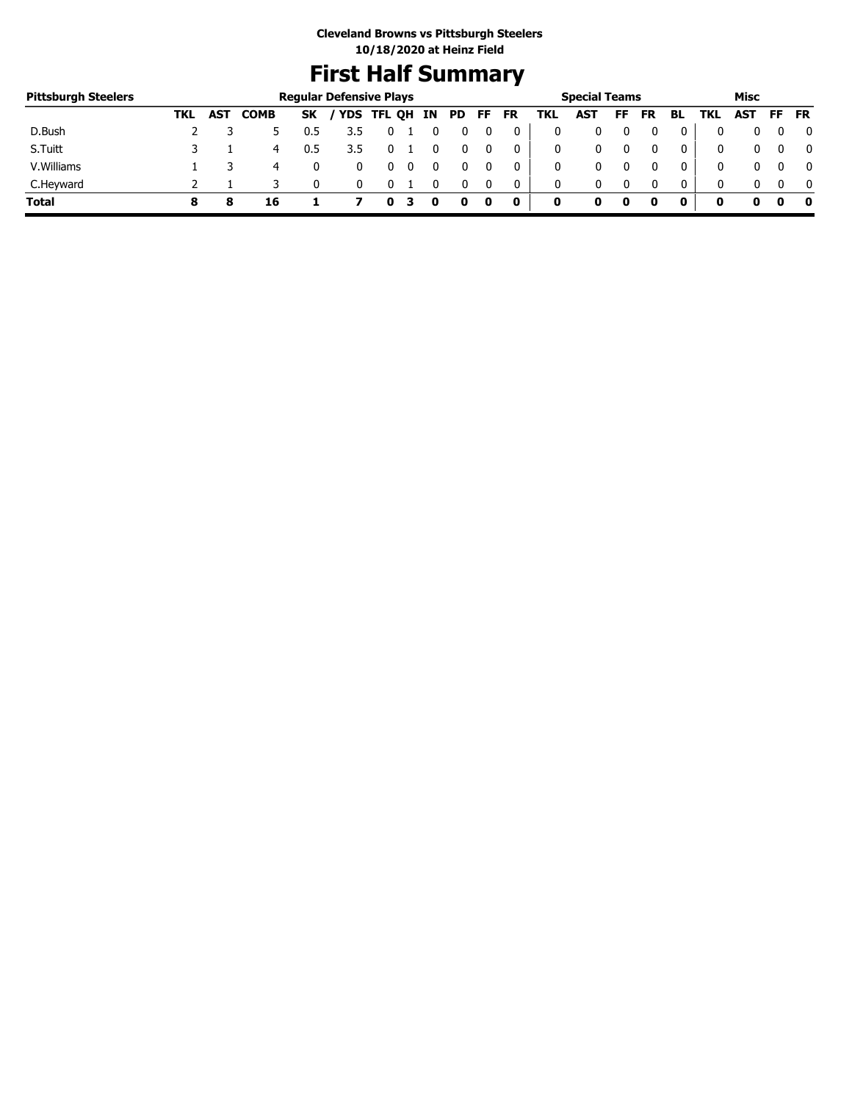## **First Half Summary**

| <b>Pittsburgh Steelers</b> |     |            |             |           | <b>Regular Defensive Plays</b> |            |    |     |    |           |     | <b>Special Teams</b> |    |    |              |     | Misc |     |              |
|----------------------------|-----|------------|-------------|-----------|--------------------------------|------------|----|-----|----|-----------|-----|----------------------|----|----|--------------|-----|------|-----|--------------|
|                            | TKL | <b>AST</b> | <b>COMB</b> | <b>SK</b> |                                | YDS TFL QH | IN | PD. | FF | <b>FR</b> | TKL | AST                  | FF | FR | BL           | TKL | AST  | FF. | <b>FR</b>    |
| D.Bush                     |     |            |             | 0.5       |                                |            |    |     |    | 0         |     |                      |    |    | 0            |     |      |     | 0            |
| S.Tuitt                    |     |            | 4           | 0.5       | 3.5                            |            |    |     |    | 0         |     | 0                    |    |    | 0            |     |      |     | $\mathbf{0}$ |
| V. Williams                |     |            | 4           |           |                                |            |    |     |    |           |     | 0                    |    |    | 0            |     |      |     | $\mathbf{0}$ |
| C.Heyward                  |     |            |             |           |                                |            |    |     |    | 0         | 0   | 0                    |    |    | $\mathbf{0}$ |     |      |     | $\mathbf{0}$ |
| <b>Total</b>               |     |            | 16          |           |                                |            |    |     | 0  | 0         | 0   |                      | 0  |    | 0            | o   |      |     | - 0          |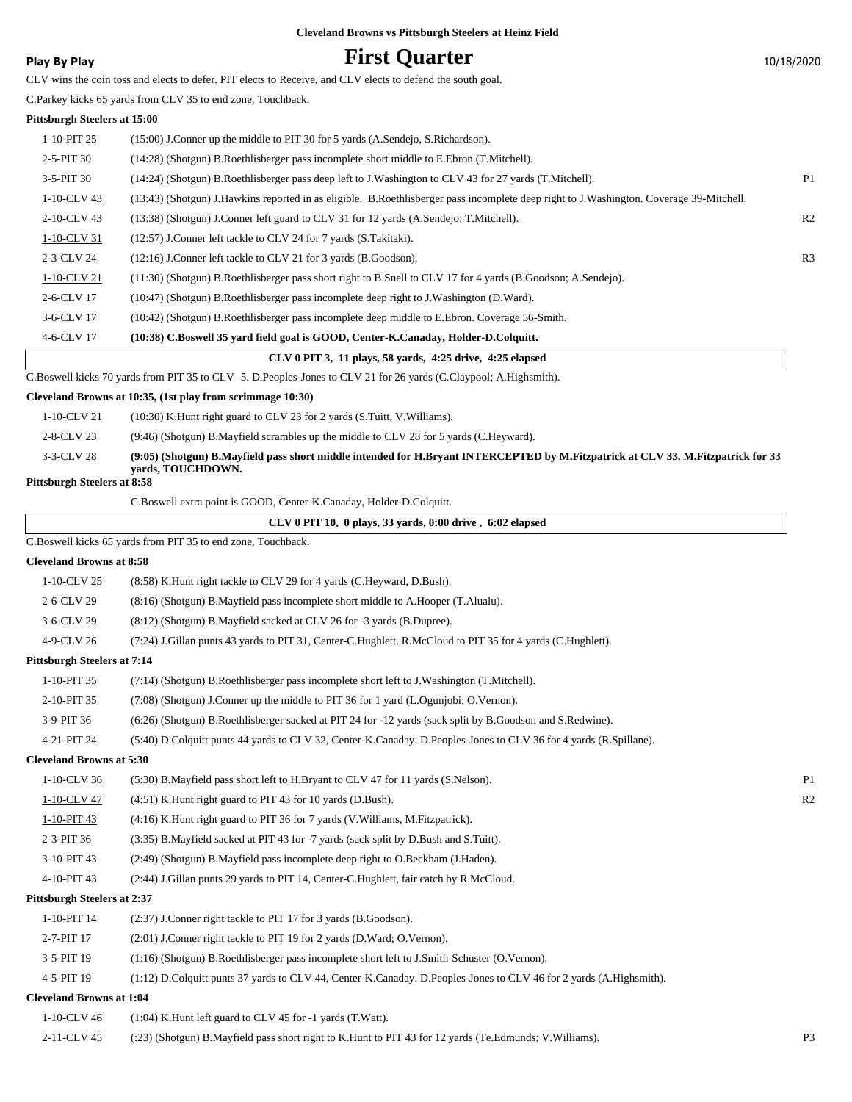### **Play By Play Play Play Play By Play First Quarter** 10/18/2020

CLV wins the coin toss and elects to defer. PIT elects to Receive, and CLV elects to defend the south goal.

C.Parkey kicks 65 yards from CLV 35 to end zone, Touchback.

#### **Pittsburgh Steelers at 15:00**

|             | CLV 0 PIT 3, 11 plays, 58 yards, 4:25 drive, 4:25 elapsed                                                                               |                |
|-------------|-----------------------------------------------------------------------------------------------------------------------------------------|----------------|
| 4-6-CLV 17  | (10:38) C.Boswell 35 yard field goal is GOOD, Center-K.Canaday, Holder-D.Colquitt.                                                      |                |
| 3-6-CLV 17  | (10:42) (Shotgun) B.Roethlisberger pass incomplete deep middle to E.Ebron. Coverage 56-Smith.                                           |                |
| 2-6-CLV 17  | (10:47) (Shotgun) B.Roethlisberger pass incomplete deep right to J.Washington (D.Ward).                                                 |                |
| 1-10-CLV 21 | (11:30) (Shotgun) B.Roethlisberger pass short right to B.Snell to CLV 17 for 4 yards (B.Goodson; A.Sendejo).                            |                |
| 2-3-CLV 24  | (12:16) J.Conner left tackle to CLV 21 for 3 yards (B.Goodson).                                                                         | R <sub>3</sub> |
| 1-10-CLV 31 | (12:57) J.Conner left tackle to CLV 24 for 7 yards (S.Takitaki).                                                                        |                |
| 2-10-CLV 43 | (13:38) (Shotgun) J.Conner left guard to CLV 31 for 12 yards (A.Sendejo; T.Mitchell).                                                   | R <sub>2</sub> |
| 1-10-CLV 43 | (13:43) (Shotgun) J.Hawkins reported in as eligible. B.Roethlisberger pass incomplete deep right to J.Washington. Coverage 39-Mitchell. |                |
| 3-5-PIT 30  | (14:24) (Shotgun) B.Roethlisberger pass deep left to J.Washington to CLV 43 for 27 yards (T.Mitchell).                                  | P <sub>1</sub> |
| $2-5-PIT30$ | (14:28) (Shotgun) B.Roethlisberger pass incomplete short middle to E.Ebron (T.Mitchell).                                                |                |
| 1-10-PIT 25 | (15:00) J.Conner up the middle to PIT 30 for 5 yards (A.Sendejo, S.Richardson).                                                         |                |
|             |                                                                                                                                         |                |

C.Boswell kicks 70 yards from PIT 35 to CLV -5. D.Peoples-Jones to CLV 21 for 26 yards (C.Claypool; A.Highsmith).

#### **Cleveland Browns at 10:35, (1st play from scrimmage 10:30)**

1-10-CLV 21 (10:30) K.Hunt right guard to CLV 23 for 2 yards (S.Tuitt, V.Williams).

2-8-CLV 23 (9:46) (Shotgun) B.Mayfield scrambles up the middle to CLV 28 for 5 yards (C.Heyward).

**(9:05) (Shotgun) B.Mayfield pass short middle intended for H.Bryant INTERCEPTED by M.Fitzpatrick at CLV 33. M.Fitzpatrick for 33 yards, TOUCHDOWN.** 3-3-CLV 28

#### **Pittsburgh Steelers at 8:58**

|                                    | C.Boswell extra point is GOOD, Center-K.Canaday, Holder-D.Colquitt.                                               |  |
|------------------------------------|-------------------------------------------------------------------------------------------------------------------|--|
|                                    | $CLV 0$ PIT 10, 0 plays, 33 vards, 0:00 drive, 6:02 elapsed                                                       |  |
|                                    | C.Boswell kicks 65 yards from PIT 35 to end zone, Touchback.                                                      |  |
| <b>Cleveland Browns at 8:58</b>    |                                                                                                                   |  |
| 1-10-CLV 25                        | (8:58) K. Hunt right tackle to CLV 29 for 4 yards (C. Heyward, D. Bush).                                          |  |
| 2-6-CLV 29                         | (8.16) (Shotgun) B. Mayfield pass incomplete short middle to A. Hooper (T. Alualu).                               |  |
| 3-6-CLV 29                         | (8:12) (Shotgun) B.Mayfield sacked at CLV 26 for -3 yards (B.Dupree).                                             |  |
| 4-9-CLV 26                         | (7:24) J.Gillan punts 43 yards to PIT 31, Center-C.Hughlett. R.McCloud to PIT 35 for 4 yards (C.Hughlett).        |  |
| <b>Pittsburgh Steelers at 7:14</b> |                                                                                                                   |  |
| 1-10-PIT 35                        | (7:14) (Shotgun) B.Roethlisberger pass incomplete short left to J.Washington (T.Mitchell).                        |  |
| 2-10-PIT 35                        | (7:08) (Shotgun) J.Conner up the middle to PIT 36 for 1 yard (L.Ogunjobi; O.Vernon).                              |  |
| 3-9-PIT 36                         | (6:26) (Shotgun) B.Roethlisberger sacked at PIT 24 for -12 yards (sack split by B.Goodson and S.Redwine).         |  |
| 4-21-PIT 24                        | (5:40) D.Colquitt punts 44 yards to CLV 32, Center-K.Canaday. D.Peoples-Jones to CLV 36 for 4 yards (R.Spillane). |  |
| <b>Cleveland Browns at 5:30</b>    |                                                                                                                   |  |
| 1-10-CLV 36                        | (5:30) B. Mayfield pass short left to H. Bryant to CLV 47 for 11 yards (S. Nelson).                               |  |
| 1-10-CLV 47                        | $(4:51)$ K. Hunt right guard to PIT 43 for 10 yards (D. Bush).                                                    |  |
| 1-10-PIT 43                        | (4:16) K. Hunt right guard to PIT 36 for 7 yards (V. Williams, M. Fitzpatrick).                                   |  |
| 2-3-PIT 36                         | (3:35) B. Mayfield sacked at PIT 43 for -7 yards (sack split by D. Bush and S. Tuitt).                            |  |
| 3-10-PIT 43                        | (2:49) (Shotgun) B.Mayfield pass incomplete deep right to O.Beckham (J.Haden).                                    |  |
| 4-10-PIT 43                        | (2:44) J.Gillan punts 29 yards to PIT 14, Center-C.Hughlett, fair catch by R.McCloud.                             |  |
| <b>Pittsburgh Steelers at 2:37</b> |                                                                                                                   |  |
| 1-10-PIT 14                        | (2:37) J.Conner right tackle to PIT 17 for 3 yards (B.Goodson).                                                   |  |

3-5-PIT 19 (1:16) (Shotgun) B.Roethlisberger pass incomplete short left to J.Smith-Schuster (O.Vernon).

2-7-PIT 17 (2:01) J.Conner right tackle to PIT 19 for 2 yards (D.Ward; O.Vernon).

4-5-PIT 19 (1:12) D.Colquitt punts 37 yards to CLV 44, Center-K.Canaday. D.Peoples-Jones to CLV 46 for 2 yards (A.Highsmith).

#### **Cleveland Browns at 1:04**

| 1-10-CLV 46 | $(1:04)$ K. Hunt left guard to CLV 45 for -1 yards (T. Watt).                                          |  |
|-------------|--------------------------------------------------------------------------------------------------------|--|
| 2-11-CLV 45 | (:23) (Shotgun) B.Mayfield pass short right to K.Hunt to PIT 43 for 12 yards (Te.Edmunds; V.Williams). |  |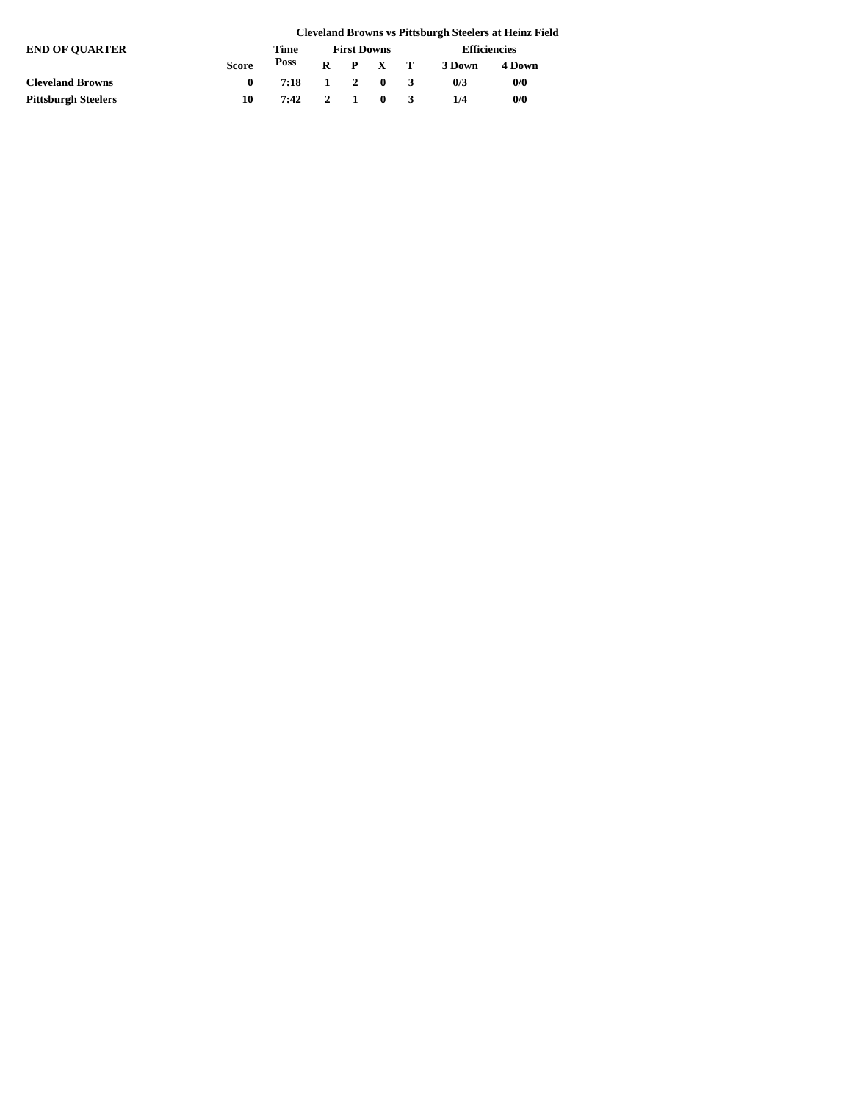|                            |              |      |                    |  |                     |              |                     | <b>Cleveland Browns vs Pittsburgh Steelers at Heinz Field</b> |
|----------------------------|--------------|------|--------------------|--|---------------------|--------------|---------------------|---------------------------------------------------------------|
| <b>END OF OUARTER</b>      |              | Time | <b>First Downs</b> |  |                     |              | <b>Efficiencies</b> |                                                               |
|                            | <b>Score</b> | Poss |                    |  | $R$ $P$ $X$ $T$     |              | 3 Down              | 4 Down                                                        |
| <b>Cleveland Browns</b>    |              | 7:18 |                    |  | $1 \quad 2 \quad 0$ | $\mathbf{R}$ | 0/3                 | 0/0                                                           |
| <b>Pittsburgh Steelers</b> | 10           | 7:42 |                    |  | $2 \quad 1 \quad 0$ |              | 1/4                 | 0/0                                                           |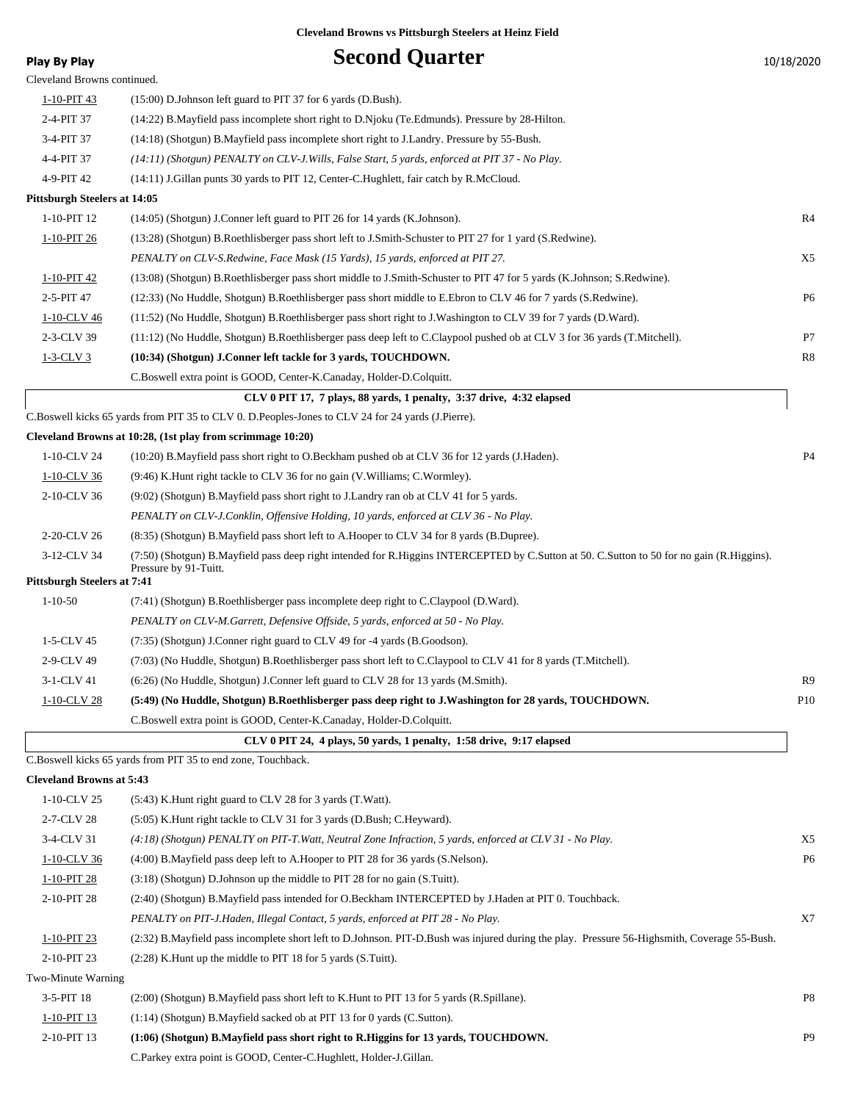| <b>Play By Play</b>                 | <b>Second Quarter</b>                                                                                                                                              | 10/18/2020      |
|-------------------------------------|--------------------------------------------------------------------------------------------------------------------------------------------------------------------|-----------------|
| Cleveland Browns continued.         |                                                                                                                                                                    |                 |
| $1 - 10 - PIT$ 43                   | $(15:00)$ D.Johnson left guard to PIT 37 for 6 yards (D.Bush).                                                                                                     |                 |
| 2-4-PIT 37                          | (14:22) B. Mayfield pass incomplete short right to D. Njoku (Te. Edmunds). Pressure by 28-Hilton.                                                                  |                 |
| 3-4-PIT 37                          | (14:18) (Shotgun) B. Mayfield pass incomplete short right to J. Landry. Pressure by 55-Bush.                                                                       |                 |
| 4-4-PIT 37                          | (14:11) (Shotgun) PENALTY on CLV-J. Wills, False Start, 5 yards, enforced at PIT 37 - No Play.                                                                     |                 |
| 4-9-PIT 42                          | (14:11) J.Gillan punts 30 yards to PIT 12, Center-C.Hughlett, fair catch by R.McCloud.                                                                             |                 |
| <b>Pittsburgh Steelers at 14:05</b> |                                                                                                                                                                    |                 |
| 1-10-PIT 12                         | (14:05) (Shotgun) J.Conner left guard to PIT 26 for 14 yards (K.Johnson).                                                                                          | R <sub>4</sub>  |
| $1-10-PIT26$                        | (13:28) (Shotgun) B.Roethlisberger pass short left to J.Smith-Schuster to PIT 27 for 1 yard (S.Redwine).                                                           |                 |
|                                     | PENALTY on CLV-S. Redwine, Face Mask (15 Yards), 15 yards, enforced at PIT 27.                                                                                     | X5              |
| 1-10-PIT 42                         | (13:08) (Shotgun) B.Roethlisberger pass short middle to J.Smith-Schuster to PIT 47 for 5 yards (K.Johnson; S.Redwine).                                             |                 |
| 2-5-PIT 47                          | (12:33) (No Huddle, Shotgun) B.Roethlisberger pass short middle to E.Ebron to CLV 46 for 7 yards (S.Redwine).                                                      | P <sub>6</sub>  |
| 1-10-CLV 46                         | (11:52) (No Huddle, Shotgun) B.Roethlisberger pass short right to J.Washington to CLV 39 for 7 yards (D.Ward).                                                     |                 |
| 2-3-CLV 39                          | (11:12) (No Huddle, Shotgun) B.Roethlisberger pass deep left to C.Claypool pushed ob at CLV 3 for 36 yards (T.Mitchell).                                           | P7              |
| $1-3-CLV$ 3                         | (10:34) (Shotgun) J.Conner left tackle for 3 yards, TOUCHDOWN.                                                                                                     | R8              |
|                                     | C.Boswell extra point is GOOD, Center-K.Canaday, Holder-D.Colquitt.                                                                                                |                 |
|                                     | CLV 0 PIT 17, 7 plays, 88 yards, 1 penalty, 3:37 drive, 4:32 elapsed                                                                                               |                 |
|                                     | C.Boswell kicks 65 yards from PIT 35 to CLV 0. D.Peoples-Jones to CLV 24 for 24 yards (J.Pierre).                                                                  |                 |
|                                     | Cleveland Browns at 10:28, (1st play from scrimmage 10:20)                                                                                                         |                 |
| 1-10-CLV 24                         | (10:20) B.Mayfield pass short right to O.Beckham pushed ob at CLV 36 for 12 yards (J.Haden).                                                                       | P4              |
| 1-10-CLV 36                         | (9:46) K.Hunt right tackle to CLV 36 for no gain (V.Williams; C.Wormley).                                                                                          |                 |
| 2-10-CLV 36                         | (9:02) (Shotgun) B. Mayfield pass short right to J. Landry ran ob at CLV 41 for 5 yards.                                                                           |                 |
|                                     | PENALTY on CLV-J.Conklin, Offensive Holding, 10 yards, enforced at CLV 36 - No Play.                                                                               |                 |
| 2-20-CLV 26                         | (8:35) (Shotgun) B.Mayfield pass short left to A.Hooper to CLV 34 for 8 yards (B.Dupree).                                                                          |                 |
| 3-12-CLV 34                         | (7:50) (Shotgun) B.Mayfield pass deep right intended for R.Higgins INTERCEPTED by C.Sutton at 50. C.Sutton to 50 for no gain (R.Higgins).<br>Pressure by 91-Tuitt. |                 |
| <b>Pittsburgh Steelers at 7:41</b>  |                                                                                                                                                                    |                 |
| $1 - 10 - 50$                       | (7:41) (Shotgun) B.Roethlisberger pass incomplete deep right to C.Claypool (D.Ward).                                                                               |                 |
|                                     | PENALTY on CLV-M.Garrett, Defensive Offside, 5 yards, enforced at 50 - No Play.                                                                                    |                 |
| 1-5-CLV 45                          | (7:35) (Shotgun) J.Conner right guard to CLV 49 for -4 yards (B.Goodson).                                                                                          |                 |
| 2-9-CLV 49                          | (7:03) (No Huddle, Shotgun) B.Roethlisberger pass short left to C.Claypool to CLV 41 for 8 yards (T.Mitchell).                                                     |                 |
| 3-1-CLV 41                          | (6:26) (No Huddle, Shotgun) J.Conner left guard to CLV 28 for 13 yards (M.Smith).                                                                                  | R9              |
| 1-10-CLV 28                         | (5:49) (No Huddle, Shotgun) B.Roethlisberger pass deep right to J.Washington for 28 yards, TOUCHDOWN.                                                              | P <sub>10</sub> |
|                                     | C.Boswell extra point is GOOD, Center-K.Canaday, Holder-D.Colquitt.                                                                                                |                 |
|                                     | CLV 0 PIT 24, 4 plays, 50 yards, 1 penalty, 1:58 drive, 9:17 elapsed                                                                                               |                 |
|                                     | C.Boswell kicks 65 yards from PIT 35 to end zone, Touchback.                                                                                                       |                 |
| <b>Cleveland Browns at 5:43</b>     |                                                                                                                                                                    |                 |
| 1-10-CLV 25                         | (5:43) K. Hunt right guard to CLV 28 for 3 yards (T. Watt).                                                                                                        |                 |
| 2-7-CLV 28                          | (5:05) K.Hunt right tackle to CLV 31 for 3 yards (D.Bush; C.Heyward).                                                                                              |                 |
| 3-4-CLV 31                          | $(4:18)$ (Shotgun) PENALTY on PIT-T. Watt, Neutral Zone Infraction, 5 yards, enforced at CLV 31 - No Play.                                                         | X5              |
| $1-10$ -CLV 36                      | (4:00) B. Mayfield pass deep left to A. Hooper to PIT 28 for 36 yards (S. Nelson).                                                                                 | P <sub>6</sub>  |
| 1-10-PIT 28                         | (3:18) (Shotgun) D.Johnson up the middle to PIT 28 for no gain (S.Tuitt).                                                                                          |                 |
| 2-10-PIT 28                         | (2:40) (Shotgun) B.Mayfield pass intended for O.Beckham INTERCEPTED by J.Haden at PIT 0. Touchback.                                                                |                 |
|                                     | PENALTY on PIT-J.Haden, Illegal Contact, 5 yards, enforced at PIT 28 - No Play.                                                                                    | X7              |
| $1-10-PIT$ 23                       | (2:32) B.Mayfield pass incomplete short left to D.Johnson. PIT-D.Bush was injured during the play. Pressure 56-Highsmith, Coverage 55-Bush.                        |                 |
| 2-10-PIT 23                         | $(2:28)$ K. Hunt up the middle to PIT 18 for 5 yards $(S.\text{Tuit})$ .                                                                                           |                 |
| Two-Minute Warning                  |                                                                                                                                                                    |                 |
| 3-5-PIT 18                          | (2:00) (Shotgun) B. Mayfield pass short left to K. Hunt to PIT 13 for 5 yards (R. Spillane).                                                                       | P8              |
| 1-10-PIT 13                         | (1:14) (Shotgun) B.Mayfield sacked ob at PIT 13 for 0 yards (C.Sutton).                                                                                            |                 |
| 2-10-PIT 13                         | (1:06) (Shotgun) B.Mayfield pass short right to R.Higgins for 13 yards, TOUCHDOWN.                                                                                 | P <sub>9</sub>  |

C.Parkey extra point is GOOD, Center-C.Hughlett, Holder-J.Gillan.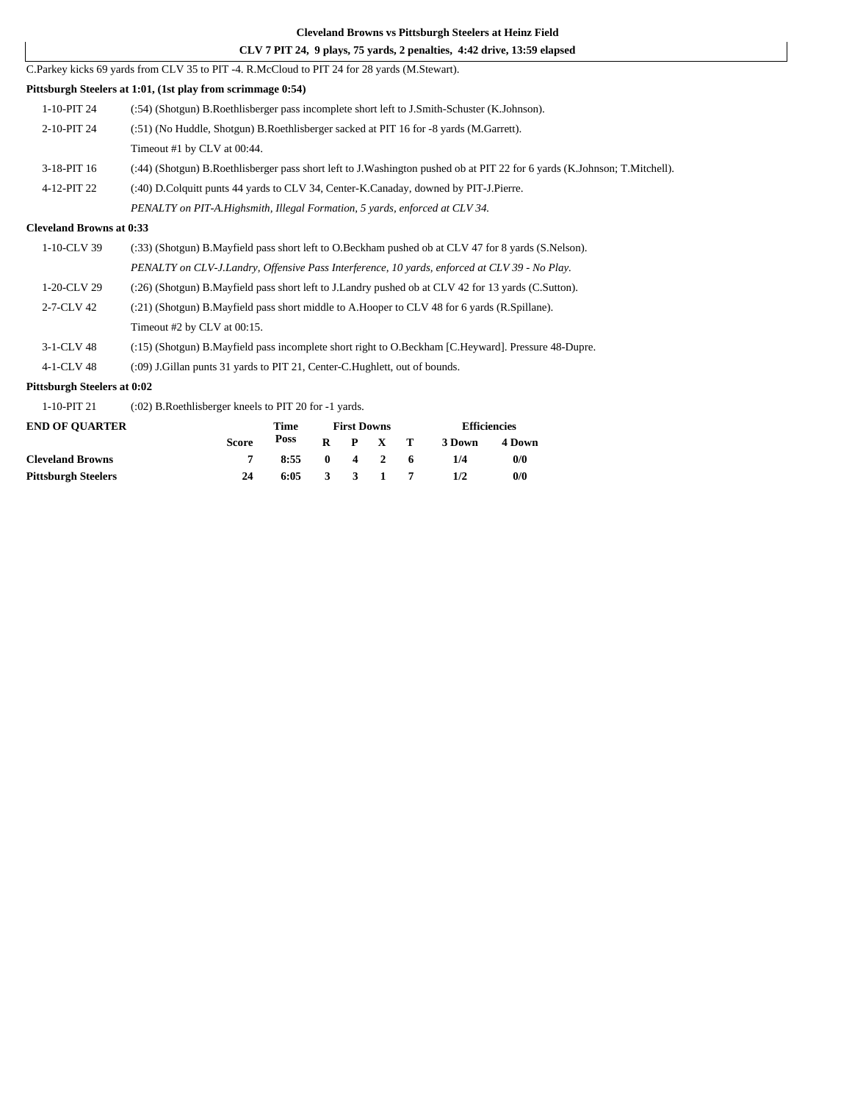#### **CLV 7 PIT 24, 9 plays, 75 yards, 2 penalties, 4:42 drive, 13:59 elapsed**

#### **Pittsburgh Steelers at 1:01, (1st play from scrimmage 0:54)**

| 1-10-PIT 24 | (:54) (Shotgun) B.Roethlisberger pass incomplete short left to J.Smith-Schuster (K.Johnson).                              |
|-------------|---------------------------------------------------------------------------------------------------------------------------|
| 2-10-PIT 24 | (:51) (No Huddle, Shotgun) B.Roethlisberger sacked at PIT 16 for -8 yards (M.Garrett).                                    |
|             | Timeout #1 by CLV at 00:44.                                                                                               |
| 3-18-PIT 16 | (:44) (Shotgun) B.Roethlisberger pass short left to J.Washington pushed ob at PIT 22 for 6 yards (K.Johnson; T.Mitchell). |
| 4-12-PIT 22 | (:40) D.Colquitt punts 44 yards to CLV 34, Center-K.Canaday, downed by PIT-J.Pierre.                                      |
|             | PENALTY on PIT-A.Highsmith, Illegal Formation, 5 yards, enforced at CLV 34.                                               |

#### **Cleveland Browns at 0:33**

| $1-10$ -CLV 39   | (:33) (Shotgun) B.Mayfield pass short left to O.Beckham pushed ob at CLV 47 for 8 yards (S.Nelson). |
|------------------|-----------------------------------------------------------------------------------------------------|
|                  | PENALTY on CLV-J.Landry, Offensive Pass Interference, 10 yards, enforced at CLV 39 - No Play.       |
| 1-20-CLV 29      | (:26) (Shotgun) B.Mayfield pass short left to J.Landry pushed ob at CLV 42 for 13 yards (C.Sutton). |
| $2 - 7 - CLV$ 42 | (:21) (Shotgun) B. Mayfield pass short middle to A. Hooper to CLV 48 for 6 yards (R. Spillane).     |
|                  | Timeout $#2$ by CLV at $00:15$ .                                                                    |
| 3-1-CLV 48       | (:15) (Shotgun) B.Mayfield pass incomplete short right to O.Beckham [C.Heyward]. Pressure 48-Dupre. |

4-1-CLV 48 (:09) J.Gillan punts 31 yards to PIT 21, Center-C.Hughlett, out of bounds.

C.Parkey kicks 69 yards from CLV 35 to PIT -4. R.McCloud to PIT 24 for 28 yards (M.Stewart).

#### **Pittsburgh Steelers at 0:02**

1-10-PIT 21 (:02) B.Roethlisberger kneels to PIT 20 for -1 yards.

| <b>END OF OUARTER</b>      |       |                | <b>First Downs</b> | <b>Efficiencies</b> |        |        |
|----------------------------|-------|----------------|--------------------|---------------------|--------|--------|
|                            | Score | Poss           |                    | $R$ $P$ $X$ $T$     | 3 Down | 4 Down |
| <b>Cleveland Browns</b>    |       | $8:55$ 0 4 2 6 |                    |                     | 1/4    | 0/0    |
| <b>Pittsburgh Steelers</b> | 24    | 6:05           |                    | 3 3 1 7             | 1/2    | 0/0    |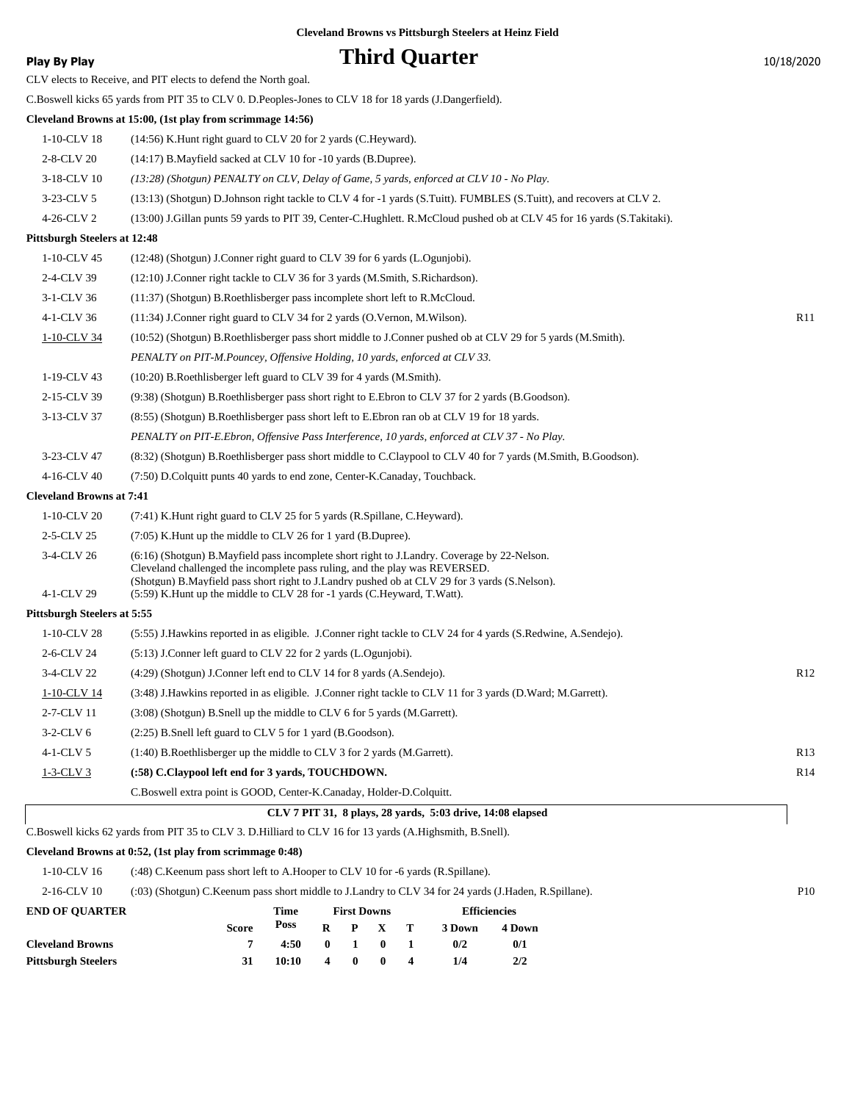### **Play By Play Play Play Play By Play Third Quarter** 10/18/2020

| $(14:56)$ K. Hunt right guard to CLV 20 for 2 yards (C. Heyward).                                                                                                                                                                                                                                                                                         |                                                                                                                                                                                                                                                                                                                                                    |
|-----------------------------------------------------------------------------------------------------------------------------------------------------------------------------------------------------------------------------------------------------------------------------------------------------------------------------------------------------------|----------------------------------------------------------------------------------------------------------------------------------------------------------------------------------------------------------------------------------------------------------------------------------------------------------------------------------------------------|
| (14:17) B. Mayfield sacked at CLV 10 for -10 yards (B. Dupree).                                                                                                                                                                                                                                                                                           |                                                                                                                                                                                                                                                                                                                                                    |
| (13:28) (Shotgun) PENALTY on CLV, Delay of Game, 5 yards, enforced at CLV 10 - No Play.                                                                                                                                                                                                                                                                   |                                                                                                                                                                                                                                                                                                                                                    |
| (13:13) (Shotgun) D.Johnson right tackle to CLV 4 for -1 yards (S.Tuitt). FUMBLES (S.Tuitt), and recovers at CLV 2.                                                                                                                                                                                                                                       |                                                                                                                                                                                                                                                                                                                                                    |
| (13:00) J.Gillan punts 59 yards to PIT 39, Center-C.Hughlett. R.McCloud pushed ob at CLV 45 for 16 yards (S.Takitaki).                                                                                                                                                                                                                                    |                                                                                                                                                                                                                                                                                                                                                    |
|                                                                                                                                                                                                                                                                                                                                                           |                                                                                                                                                                                                                                                                                                                                                    |
| (12:48) (Shotgun) J.Conner right guard to CLV 39 for 6 yards (L.Ogunjobi).                                                                                                                                                                                                                                                                                |                                                                                                                                                                                                                                                                                                                                                    |
| (12:10) J.Conner right tackle to CLV 36 for 3 yards (M.Smith, S.Richardson).                                                                                                                                                                                                                                                                              |                                                                                                                                                                                                                                                                                                                                                    |
| (11:37) (Shotgun) B.Roethlisberger pass incomplete short left to R.McCloud.                                                                                                                                                                                                                                                                               |                                                                                                                                                                                                                                                                                                                                                    |
| (11:34) J.Conner right guard to CLV 34 for 2 yards (O.Vernon, M.Wilson).                                                                                                                                                                                                                                                                                  | R11                                                                                                                                                                                                                                                                                                                                                |
| (10:52) (Shotgun) B.Roethlisberger pass short middle to J.Conner pushed ob at CLV 29 for 5 yards (M.Smith).                                                                                                                                                                                                                                               |                                                                                                                                                                                                                                                                                                                                                    |
| PENALTY on PIT-M.Pouncey, Offensive Holding, 10 yards, enforced at CLV 33.                                                                                                                                                                                                                                                                                |                                                                                                                                                                                                                                                                                                                                                    |
| (10:20) B.Roethlisberger left guard to CLV 39 for 4 yards (M.Smith).                                                                                                                                                                                                                                                                                      |                                                                                                                                                                                                                                                                                                                                                    |
| (9:38) (Shotgun) B.Roethlisberger pass short right to E.Ebron to CLV 37 for 2 yards (B.Goodson).                                                                                                                                                                                                                                                          |                                                                                                                                                                                                                                                                                                                                                    |
| (8.55) (Shotgun) B.Roethlisberger pass short left to E.Ebron ran ob at CLV 19 for 18 yards.                                                                                                                                                                                                                                                               |                                                                                                                                                                                                                                                                                                                                                    |
| PENALTY on PIT-E.Ebron, Offensive Pass Interference, 10 yards, enforced at CLV 37 - No Play.                                                                                                                                                                                                                                                              |                                                                                                                                                                                                                                                                                                                                                    |
| (8:32) (Shotgun) B.Roethlisberger pass short middle to C.Claypool to CLV 40 for 7 yards (M.Smith, B.Goodson).                                                                                                                                                                                                                                             |                                                                                                                                                                                                                                                                                                                                                    |
| (7:50) D.Colquitt punts 40 yards to end zone, Center-K.Canaday, Touchback.                                                                                                                                                                                                                                                                                |                                                                                                                                                                                                                                                                                                                                                    |
|                                                                                                                                                                                                                                                                                                                                                           |                                                                                                                                                                                                                                                                                                                                                    |
| (7:41) K. Hunt right guard to CLV 25 for 5 yards (R. Spillane, C. Heyward).                                                                                                                                                                                                                                                                               |                                                                                                                                                                                                                                                                                                                                                    |
| (7:05) K.Hunt up the middle to CLV 26 for 1 yard (B.Dupree).                                                                                                                                                                                                                                                                                              |                                                                                                                                                                                                                                                                                                                                                    |
| (6:16) (Shotgun) B.Mayfield pass incomplete short right to J.Landry. Coverage by 22-Nelson.<br>Cleveland challenged the incomplete pass ruling, and the play was REVERSED.<br>(Shotgun) B. Mayfield pass short right to J. Landry pushed ob at CLV 29 for 3 yards (S. Nelson).<br>(5:59) K.Hunt up the middle to CLV 28 for -1 yards (C.Heyward, T.Watt). |                                                                                                                                                                                                                                                                                                                                                    |
|                                                                                                                                                                                                                                                                                                                                                           |                                                                                                                                                                                                                                                                                                                                                    |
| (5:55) J.Hawkins reported in as eligible. J.Conner right tackle to CLV 24 for 4 yards (S.Redwine, A.Sendejo).                                                                                                                                                                                                                                             |                                                                                                                                                                                                                                                                                                                                                    |
| (5:13) J.Conner left guard to CLV 22 for 2 yards (L.Ogunjobi).                                                                                                                                                                                                                                                                                            |                                                                                                                                                                                                                                                                                                                                                    |
| (4:29) (Shotgun) J.Conner left end to CLV 14 for 8 yards (A.Sendejo).                                                                                                                                                                                                                                                                                     | R12                                                                                                                                                                                                                                                                                                                                                |
| (3:48) J.Hawkins reported in as eligible. J.Conner right tackle to CLV 11 for 3 yards (D.Ward; M.Garrett).                                                                                                                                                                                                                                                |                                                                                                                                                                                                                                                                                                                                                    |
| (3:08) (Shotgun) B.Snell up the middle to CLV 6 for 5 yards (M.Garrett).                                                                                                                                                                                                                                                                                  |                                                                                                                                                                                                                                                                                                                                                    |
| (2:25) B.Snell left guard to CLV 5 for 1 yard (B.Goodson).                                                                                                                                                                                                                                                                                                |                                                                                                                                                                                                                                                                                                                                                    |
| (1:40) B.Roethlisberger up the middle to CLV 3 for 2 yards (M.Garrett).                                                                                                                                                                                                                                                                                   | R13                                                                                                                                                                                                                                                                                                                                                |
| (:58) C.Claypool left end for 3 yards, TOUCHDOWN.                                                                                                                                                                                                                                                                                                         | R14                                                                                                                                                                                                                                                                                                                                                |
| C.Boswell extra point is GOOD, Center-K.Canaday, Holder-D.Colquitt.                                                                                                                                                                                                                                                                                       |                                                                                                                                                                                                                                                                                                                                                    |
| CLV 7 PIT 31, 8 plays, 28 yards, 5:03 drive, 14:08 elapsed                                                                                                                                                                                                                                                                                                |                                                                                                                                                                                                                                                                                                                                                    |
|                                                                                                                                                                                                                                                                                                                                                           | CE V CICELS to Receive, and I IT CICELS to defend the TWHIT goal.<br>C.Boswell kicks 65 yards from PIT 35 to CLV 0. D.Peoples-Jones to CLV 18 for 18 yards (J.Dangerfield).<br>Cleveland Browns at 15:00, (1st play from scrimmage 14:56)<br><b>Pittsburgh Steelers at 12:48</b><br><b>Cleveland Browns at 7:41</b><br>Pittsburgh Steelers at 5:55 |

#### **Cleveland Browns at 0:52, (1st play from scrimmage 0:48)**

1-10-CLV 16 (:48) C.Keenum pass short left to A.Hooper to CLV 10 for -6 yards (R.Spillane).

2-16-CLV 10 (:03) (Shotgun) C.Keenum pass short middle to J.Landry to CLV 34 for 24 yards (J.Haden, R.Spillane). P10

| <b>END OF OUARTER</b>      |              | Time  |                  | <b>First Downs</b>  |                 |                         | <b>Efficiencies</b> |        |  |
|----------------------------|--------------|-------|------------------|---------------------|-----------------|-------------------------|---------------------|--------|--|
|                            | <b>Score</b> | Poss  |                  |                     | $R$ $P$ $X$ $T$ |                         | 3 Down              | 4 Down |  |
| <b>Cleveland Browns</b>    |              | 4:50  |                  | $0 \quad 1 \quad 0$ |                 |                         | 0/2                 | 0/1    |  |
| <b>Pittsburgh Steelers</b> | 31           | 10:10 | $\boldsymbol{4}$ | - 0                 | - 0             | $\overline{\mathbf{4}}$ | 1/4                 | 2/2    |  |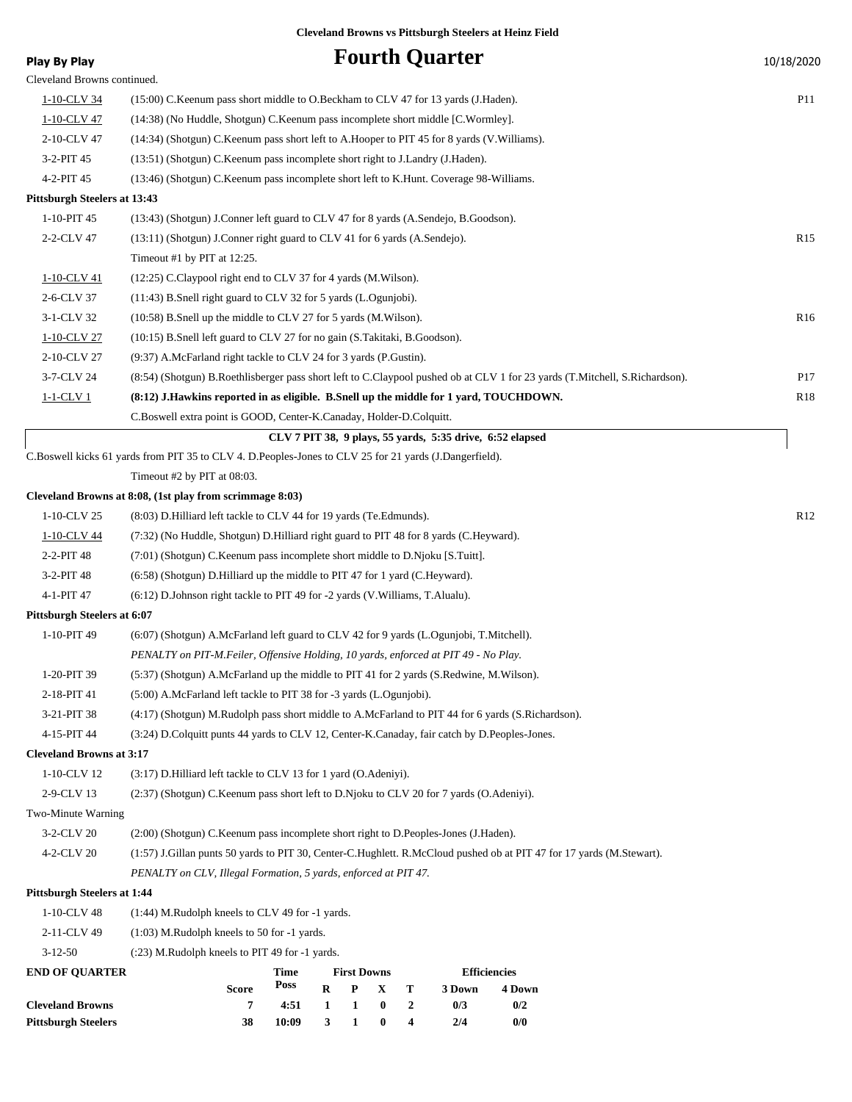| <b>Play By Play</b>                 |                                                                                                                             |              |   |                         |   |                  | <b>Fourth Quarter</b>                                     |                               |  | 10/18/2020      |
|-------------------------------------|-----------------------------------------------------------------------------------------------------------------------------|--------------|---|-------------------------|---|------------------|-----------------------------------------------------------|-------------------------------|--|-----------------|
| Cleveland Browns continued.         |                                                                                                                             |              |   |                         |   |                  |                                                           |                               |  |                 |
| 1-10-CLV 34                         | (15:00) C.Keenum pass short middle to O.Beckham to CLV 47 for 13 yards (J.Haden).                                           |              |   |                         |   |                  |                                                           |                               |  | <b>P11</b>      |
| 1-10-CLV 47                         | (14:38) (No Huddle, Shotgun) C.Keenum pass incomplete short middle [C.Wormley].                                             |              |   |                         |   |                  |                                                           |                               |  |                 |
| 2-10-CLV 47                         | (14:34) (Shotgun) C.Keenum pass short left to A.Hooper to PIT 45 for 8 yards (V.Williams).                                  |              |   |                         |   |                  |                                                           |                               |  |                 |
| 3-2-PIT 45                          | (13:51) (Shotgun) C.Keenum pass incomplete short right to J.Landry (J.Haden).                                               |              |   |                         |   |                  |                                                           |                               |  |                 |
| 4-2-PIT 45                          | (13:46) (Shotgun) C.Keenum pass incomplete short left to K.Hunt. Coverage 98-Williams.                                      |              |   |                         |   |                  |                                                           |                               |  |                 |
| <b>Pittsburgh Steelers at 13:43</b> |                                                                                                                             |              |   |                         |   |                  |                                                           |                               |  |                 |
| 1-10-PIT 45                         | (13:43) (Shotgun) J.Conner left guard to CLV 47 for 8 yards (A.Sendejo, B.Goodson).                                         |              |   |                         |   |                  |                                                           |                               |  |                 |
| 2-2-CLV 47                          | (13:11) (Shotgun) J.Conner right guard to CLV 41 for 6 yards (A.Sendejo).                                                   |              |   |                         |   |                  |                                                           |                               |  | R <sub>15</sub> |
|                                     | Timeout #1 by PIT at $12:25$ .                                                                                              |              |   |                         |   |                  |                                                           |                               |  |                 |
| 1-10-CLV 41                         | (12:25) C.Claypool right end to CLV 37 for 4 yards (M.Wilson).                                                              |              |   |                         |   |                  |                                                           |                               |  |                 |
| 2-6-CLV 37                          | $(11:43)$ B. Snell right guard to CLV 32 for 5 yards (L. Ogunjobi).                                                         |              |   |                         |   |                  |                                                           |                               |  |                 |
| 3-1-CLV 32                          | $(10:58)$ B. Snell up the middle to CLV 27 for 5 yards (M. Wilson).                                                         |              |   |                         |   |                  |                                                           |                               |  | R <sub>16</sub> |
| 1-10-CLV 27                         | (10:15) B.Snell left guard to CLV 27 for no gain (S.Takitaki, B.Goodson).                                                   |              |   |                         |   |                  |                                                           |                               |  |                 |
| 2-10-CLV 27                         | (9:37) A.McFarland right tackle to CLV 24 for 3 yards (P.Gustin).                                                           |              |   |                         |   |                  |                                                           |                               |  |                 |
| 3-7-CLV 24                          | (8.54) (Shotgun) B.Roethlisberger pass short left to C.Claypool pushed ob at CLV 1 for 23 yards (T.Mitchell, S.Richardson). |              |   |                         |   |                  |                                                           |                               |  | P17             |
| <u>1-1-CLV 1</u>                    | (8:12) J.Hawkins reported in as eligible. B.Snell up the middle for 1 yard, TOUCHDOWN.                                      |              |   |                         |   |                  |                                                           |                               |  | R <sub>18</sub> |
|                                     | C.Boswell extra point is GOOD, Center-K.Canaday, Holder-D.Colquitt.                                                         |              |   |                         |   |                  |                                                           |                               |  |                 |
|                                     |                                                                                                                             |              |   |                         |   |                  | CLV 7 PIT 38, 9 plays, 55 yards, 5:35 drive, 6:52 elapsed |                               |  |                 |
|                                     | C.Boswell kicks 61 yards from PIT 35 to CLV 4. D.Peoples-Jones to CLV 25 for 21 yards (J.Dangerfield).                      |              |   |                         |   |                  |                                                           |                               |  |                 |
|                                     | Timeout #2 by PIT at 08:03.                                                                                                 |              |   |                         |   |                  |                                                           |                               |  |                 |
|                                     | Cleveland Browns at 8:08, (1st play from scrimmage 8:03)                                                                    |              |   |                         |   |                  |                                                           |                               |  |                 |
| 1-10-CLV 25                         | R12<br>(8:03) D. Hilliard left tackle to CLV 44 for 19 yards (Te. Edmunds).                                                 |              |   |                         |   |                  |                                                           |                               |  |                 |
| 1-10-CLV 44                         | (7:32) (No Huddle, Shotgun) D.Hilliard right guard to PIT 48 for 8 yards (C.Heyward).                                       |              |   |                         |   |                  |                                                           |                               |  |                 |
| 2-2-PIT 48                          | (7:01) (Shotgun) C.Keenum pass incomplete short middle to D.Njoku [S.Tuitt].                                                |              |   |                         |   |                  |                                                           |                               |  |                 |
| 3-2-PIT 48                          | $(6.58)$ (Shotgun) D. Hilliard up the middle to PIT 47 for 1 yard (C. Heyward).                                             |              |   |                         |   |                  |                                                           |                               |  |                 |
| 4-1-PIT 47                          | (6.12) D. Johnson right tackle to PIT 49 for -2 yards (V. Williams, T. Alualu).                                             |              |   |                         |   |                  |                                                           |                               |  |                 |
| <b>Pittsburgh Steelers at 6:07</b>  |                                                                                                                             |              |   |                         |   |                  |                                                           |                               |  |                 |
| 1-10-PIT 49                         | (6:07) (Shotgun) A.McFarland left guard to CLV 42 for 9 yards (L.Ogunjobi, T.Mitchell).                                     |              |   |                         |   |                  |                                                           |                               |  |                 |
|                                     | PENALTY on PIT-M.Feiler, Offensive Holding, 10 yards, enforced at PIT 49 - No Play.                                         |              |   |                         |   |                  |                                                           |                               |  |                 |
| 1-20-PIT 39                         | (5:37) (Shotgun) A.McFarland up the middle to PIT 41 for 2 yards (S.Redwine, M.Wilson).                                     |              |   |                         |   |                  |                                                           |                               |  |                 |
| 2-18-PIT 41                         | (5:00) A.McFarland left tackle to PIT 38 for -3 yards (L.Ogunjobi).                                                         |              |   |                         |   |                  |                                                           |                               |  |                 |
| 3-21-PIT 38                         | (4:17) (Shotgun) M.Rudolph pass short middle to A.McFarland to PIT 44 for 6 yards (S.Richardson).                           |              |   |                         |   |                  |                                                           |                               |  |                 |
| 4-15-PIT 44                         | (3:24) D.Colquitt punts 44 yards to CLV 12, Center-K.Canaday, fair catch by D.Peoples-Jones.                                |              |   |                         |   |                  |                                                           |                               |  |                 |
| <b>Cleveland Browns at 3:17</b>     |                                                                                                                             |              |   |                         |   |                  |                                                           |                               |  |                 |
| 1-10-CLV 12                         | (3:17) D. Hilliard left tackle to CLV 13 for 1 yard (O. Adeniyi).                                                           |              |   |                         |   |                  |                                                           |                               |  |                 |
| 2-9-CLV 13                          | (2:37) (Shotgun) C.Keenum pass short left to D.Njoku to CLV 20 for 7 yards (O.Adeniyi).                                     |              |   |                         |   |                  |                                                           |                               |  |                 |
| Two-Minute Warning                  |                                                                                                                             |              |   |                         |   |                  |                                                           |                               |  |                 |
| 3-2-CLV 20                          | (2:00) (Shotgun) C.Keenum pass incomplete short right to D.Peoples-Jones (J.Haden).                                         |              |   |                         |   |                  |                                                           |                               |  |                 |
| 4-2-CLV 20                          | (1:57) J.Gillan punts 50 yards to PIT 30, Center-C.Hughlett. R.McCloud pushed ob at PIT 47 for 17 yards (M.Stewart).        |              |   |                         |   |                  |                                                           |                               |  |                 |
|                                     | PENALTY on CLV, Illegal Formation, 5 yards, enforced at PIT 47.                                                             |              |   |                         |   |                  |                                                           |                               |  |                 |
| <b>Pittsburgh Steelers at 1:44</b>  |                                                                                                                             |              |   |                         |   |                  |                                                           |                               |  |                 |
| 1-10-CLV 48                         | $(1:44)$ M.Rudolph kneels to CLV 49 for -1 yards.                                                                           |              |   |                         |   |                  |                                                           |                               |  |                 |
| 2-11-CLV 49                         | $(1:03)$ M.Rudolph kneels to 50 for -1 yards.                                                                               |              |   |                         |   |                  |                                                           |                               |  |                 |
| $3 - 12 - 50$                       | $(23)$ M. Rudolph kneels to PIT 49 for -1 yards.                                                                            |              |   |                         |   |                  |                                                           |                               |  |                 |
| <b>END OF QUARTER</b>               | <b>Score</b>                                                                                                                | Time<br>Poss | R | <b>First Downs</b><br>P | X | т                | 3 Down                                                    | <b>Efficiencies</b><br>4 Down |  |                 |
| <b>Cleveland Browns</b>             | 7                                                                                                                           | 4:51         | 1 | 1                       | 0 | $\boldsymbol{2}$ | 0/3                                                       | 0/2                           |  |                 |
| <b>Pittsburgh Steelers</b>          | 38                                                                                                                          | 10:09        | 3 | 1                       | 0 | 4                | 2/4                                                       | 0/0                           |  |                 |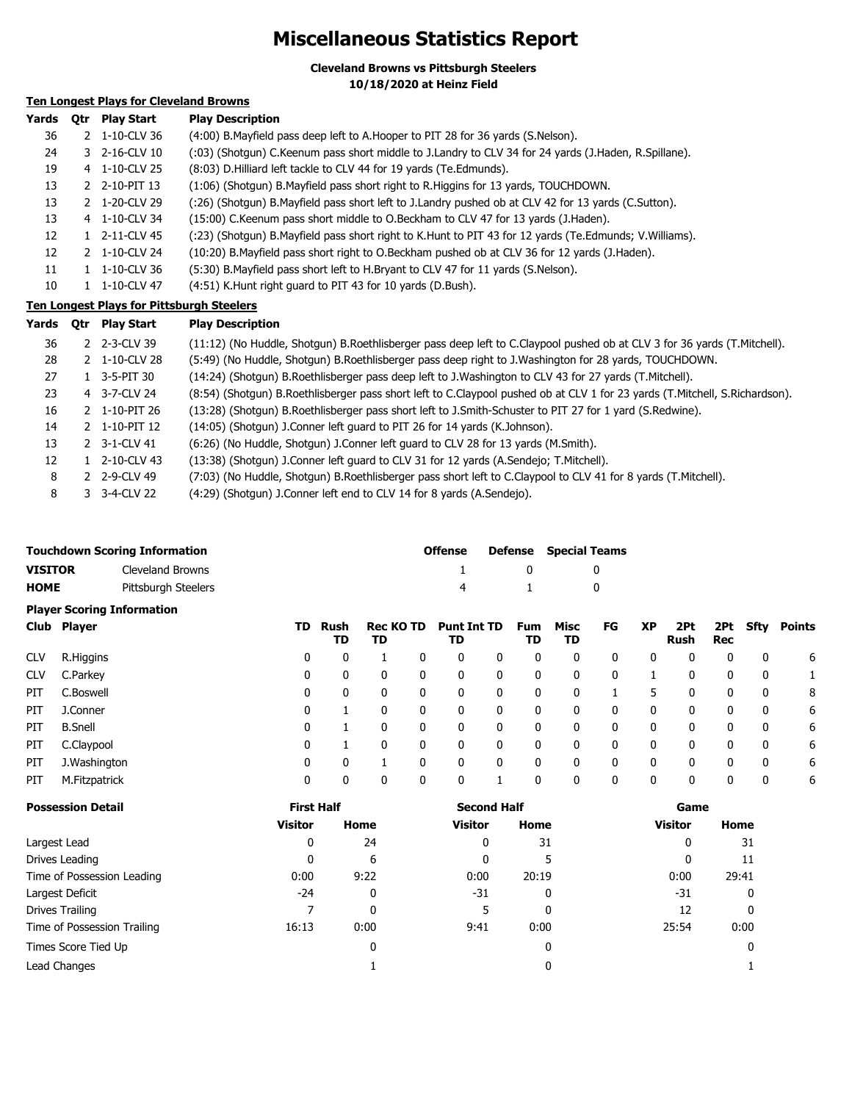### **Miscellaneous Statistics Report**

**Cleveland Browns vs Pittsburgh Steelers**

**10/18/2020 at Heinz Field**

### **Ten Longest Plays for Cleveland Browns**

| Yards | 0tr           | <b>Play Start</b> | <b>Play Description</b>                                                                                |
|-------|---------------|-------------------|--------------------------------------------------------------------------------------------------------|
| 36    | $\mathcal{P}$ | 1-10-CLV 36       | (4:00) B. Mayfield pass deep left to A. Hooper to PIT 28 for 36 yards (S. Nelson).                     |
| 24    |               | 3 2-16-CLV 10     | (:03) (Shotgun) C.Keenum pass short middle to J.Landry to CLV 34 for 24 yards (J.Haden, R.Spillane).   |
| 19    |               | 4 1-10-CLV 25     | (8:03) D. Hilliard left tackle to CLV 44 for 19 yards (Te. Edmunds).                                   |
| 13    |               | 2 2-10-PIT 13     | (1:06) (Shotgun) B. Mayfield pass short right to R. Higgins for 13 yards, TOUCHDOWN.                   |
| 13    |               | 2 1-20-CLV 29     | (26) (Shotgun) B.Mayfield pass short left to J.Landry pushed ob at CLV 42 for 13 yards (C.Sutton).     |
| 13    |               | 4 1-10-CLV 34     | (15:00) C. Keenum pass short middle to O. Beckham to CLV 47 for 13 yards (J. Haden).                   |
| 12    |               | 2-11-CLV 45       | (:23) (Shotgun) B.Mayfield pass short right to K.Hunt to PIT 43 for 12 yards (Te.Edmunds; V.Williams). |
| 12    | $\mathcal{P}$ | 1-10-CLV 24       | (10:20) B. Mayfield pass short right to O. Beckham pushed ob at CLV 36 for 12 yards (J. Haden).        |
| 11    |               | 1-10-CLV 36       | (5:30) B. Mayfield pass short left to H. Bryant to CLV 47 for 11 yards (S. Nelson).                    |
| 10    |               | 1-10-CLV 47       | (4:51) K.Hunt right guard to PIT 43 for 10 yards (D.Bush).                                             |

#### **Ten Longest Plays for Pittsburgh Steelers**

| Yards | 0tr | <b>Play Start</b>       | <b>Play Description</b>                                                                                                     |
|-------|-----|-------------------------|-----------------------------------------------------------------------------------------------------------------------------|
| 36    |     | 2 2-3-CLV 39            | (11:12) (No Huddle, Shotgun) B.Roethlisberger pass deep left to C.Claypool pushed ob at CLV 3 for 36 yards (T.Mitchell).    |
| 28    |     | 2 1-10-CLV 28           | (5:49) (No Huddle, Shotgun) B.Roethlisberger pass deep right to J.Washington for 28 yards, TOUCHDOWN.                       |
| 27    |     | $1 \quad 3 - 5 - PIT30$ | (14:24) (Shotgun) B.Roethlisberger pass deep left to J.Washington to CLV 43 for 27 yards (T.Mitchell).                      |
| 23    |     | 4 3-7-CLV 24            | (8:54) (Shotgun) B.Roethlisberger pass short left to C.Claypool pushed ob at CLV 1 for 23 yards (T.Mitchell, S.Richardson). |
| 16    |     | 2 1-10-PIT 26           | (13:28) (Shotgun) B.Roethlisberger pass short left to J.Smith-Schuster to PIT 27 for 1 yard (S.Redwine).                    |
| 14    |     | 2 1-10-PIT 12           | (14:05) (Shotgun) J.Conner left guard to PIT 26 for 14 yards (K.Johnson).                                                   |
| 13    |     | 2 3-1-CLV 41            | (6:26) (No Huddle, Shotgun) J.Conner left guard to CLV 28 for 13 yards (M.Smith).                                           |
| 12    |     | 1 2-10-CLV 43           | (13:38) (Shotqun) J.Conner left quard to CLV 31 for 12 yards (A.Sendejo; T.Mitchell).                                       |
| 8     |     | 2 2-9-CLV 49            | (7:03) (No Huddle, Shotgun) B.Roethlisberger pass short left to C.Claypool to CLV 41 for 8 yards (T.Mitchell).              |
| 8     |     | 3 3-4-CLV 22            | (4:29) (Shotgun) J.Conner left end to CLV 14 for 8 yards (A.Sendejo).                                                       |

|                | <b>Touchdown Scoring Information</b> | <b>Offense</b> |              | <b>Defense</b> Special Teams |
|----------------|--------------------------------------|----------------|--------------|------------------------------|
| <b>VISITOR</b> | Cleveland Browns                     |                | $\mathbf{0}$ |                              |
| <b>HOME</b>    | Pittsburgh Steelers                  | 4              | $\sim$ 1     |                              |

#### **Player Scoring Information**

|            | Club Player    | TD | Rush<br>TD | Rec KO TD<br>TD | Punt Int TD<br>TD |   | Fum<br>TD | Misc<br>TD   | FG | XP | 2Pt<br>Rush | Rec | 2Pt Sfty | Points |
|------------|----------------|----|------------|-----------------|-------------------|---|-----------|--------------|----|----|-------------|-----|----------|--------|
| <b>CLV</b> | R.Higgins      | 0  | 0          |                 | 0                 | 0 | 0         | 0            |    | 0  | 0           | 0   | 0        | 6      |
| <b>CLV</b> | C.Parkey       | 0  | 0          | 0               | 0                 | 0 | 0         | 0            |    |    |             | 0   | 0        |        |
| PIT.       | C.Boswell      | 0  | 0          | 0               | 0                 | 0 | 0         | $\mathbf{0}$ |    | 5  | 0           | 0   | 0        | 8      |
| PIT.       | J.Conner       | 0  |            |                 | 0                 | 0 | 0         | 0            |    | 0  | 0           | 0   | 0        | 6      |
| PIT        | <b>B.Snell</b> | 0  |            | 0               | 0                 | 0 | 0         | 0            |    | 0  | 0           | 0   | 0        | 6      |
| PIT        | C.Claypool     | 0  |            | $\mathbf{0}$    | 0                 | 0 | 0         | 0            |    | 0  | 0           | 0   | 0        | 6      |
| PIT        | J.Washington   | 0  | 0          |                 | 0                 | 0 | 0         | 0            |    | 0  | 0           | 0   | 0        | 6      |
| PIT        | M.Fitzpatrick  | 0  | 0          | 0               | 0                 |   | 0         | 0            |    | 0  | 0           | 0   | 0        | 6      |

| <b>Possession Detail</b>    | <b>First Half</b> |              | <b>Second Half</b> |       | Game           |       |  |  |
|-----------------------------|-------------------|--------------|--------------------|-------|----------------|-------|--|--|
|                             | <b>Visitor</b>    | Home         | <b>Visitor</b>     | Home  | <b>Visitor</b> | Home  |  |  |
| Largest Lead                | 0                 | 24           | 0                  | 31    | 0              | 31    |  |  |
| Drives Leading              | 0                 | 6            | 0                  | 5     | 0              | 11    |  |  |
| Time of Possession Leading  | 0:00              | 9:22         | 0:00               | 20:19 | 0:00           | 29:41 |  |  |
| Largest Deficit             | $-24$             | 0            | -31                | 0     | -31            | 0     |  |  |
| Drives Trailing             |                   | 0            | 5                  | 0     | 12             | 0     |  |  |
| Time of Possession Trailing | 16:13             | 0:00         | 9:41               | 0:00  | 25:54          | 0:00  |  |  |
| Times Score Tied Up         |                   | $\mathbf{0}$ |                    | 0     |                |       |  |  |
| Lead Changes                |                   |              |                    | 0     |                |       |  |  |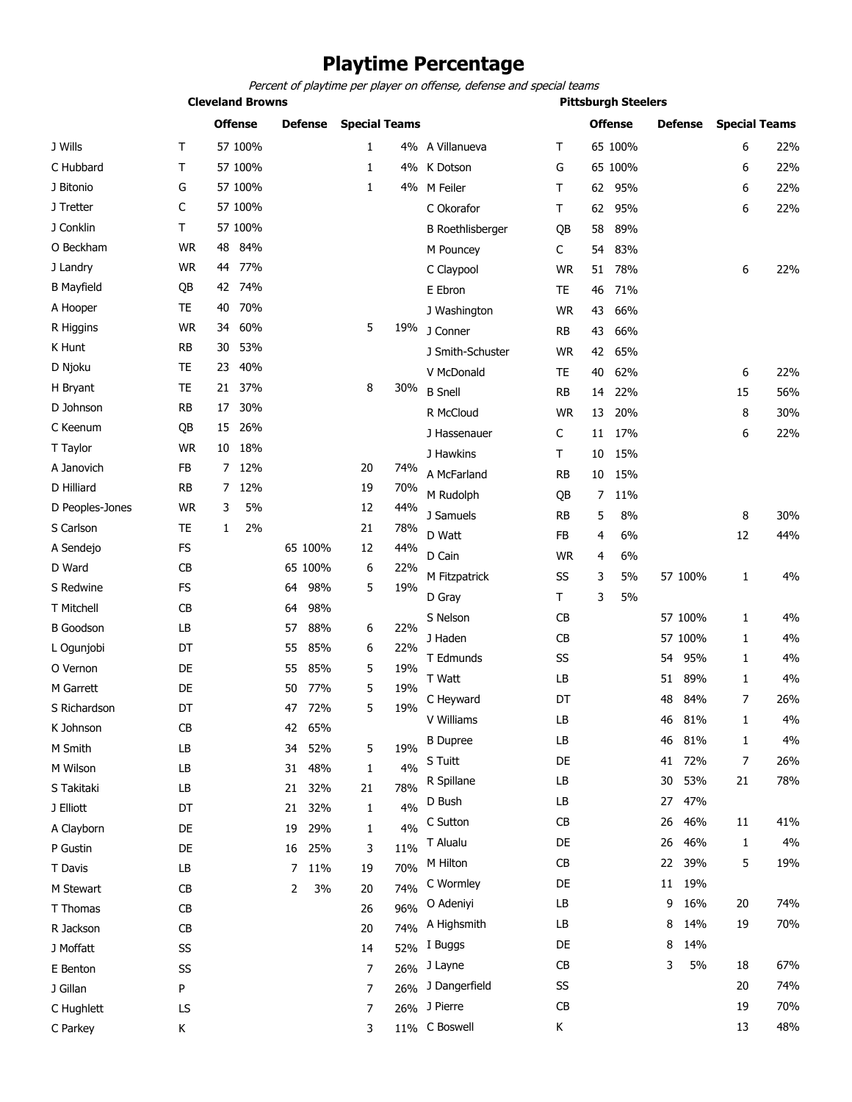### **Playtime Percentage**

Percent of playtime per player on offense, defense and special teams

**Cleveland Browns Pittsburgh Steelers**

|                   |           |                | <b>Offense</b> |                | <b>Defense</b> | <b>Special Teams</b> |     |                         |           |    | <b>Offense</b> |    | <b>Defense</b> | <b>Special Teams</b> |     |
|-------------------|-----------|----------------|----------------|----------------|----------------|----------------------|-----|-------------------------|-----------|----|----------------|----|----------------|----------------------|-----|
| J Wills           | Τ         |                | 57 100%        |                |                | 1                    |     | 4% A Villanueva         | Τ         |    | 65 100%        |    |                | 6                    | 22% |
| C Hubbard         | т         |                | 57 100%        |                |                | 1                    | 4%  | K Dotson                | G         |    | 65 100%        |    |                | 6                    | 22% |
| J Bitonio         | G         |                | 57 100%        |                |                | 1                    |     | 4% M Feiler             | T         | 62 | 95%            |    |                | 6                    | 22% |
| J Tretter         | С         |                | 57 100%        |                |                |                      |     | C Okorafor              | Τ         | 62 | 95%            |    |                | 6                    | 22% |
| J Conklin         | Τ         |                | 57 100%        |                |                |                      |     | <b>B</b> Roethlisberger | QB        | 58 | 89%            |    |                |                      |     |
| O Beckham         | <b>WR</b> | 48             | 84%            |                |                |                      |     | M Pouncey               | C         | 54 | 83%            |    |                |                      |     |
| J Landry          | <b>WR</b> | 44             | 77%            |                |                |                      |     | C Claypool              | <b>WR</b> | 51 | 78%            |    |                | 6                    | 22% |
| <b>B</b> Mayfield | QB        |                | 42 74%         |                |                |                      |     | E Ebron                 | <b>TE</b> | 46 | 71%            |    |                |                      |     |
| A Hooper          | TE        | 40             | 70%            |                |                |                      |     | J Washington            | <b>WR</b> | 43 | 66%            |    |                |                      |     |
| R Higgins         | <b>WR</b> | 34             | 60%            |                |                | 5                    | 19% | J Conner                | <b>RB</b> | 43 | 66%            |    |                |                      |     |
| K Hunt            | <b>RB</b> | 30             | 53%            |                |                |                      |     | J Smith-Schuster        | <b>WR</b> | 42 | 65%            |    |                |                      |     |
| D Njoku           | <b>TE</b> | 23             | 40%            |                |                |                      |     | V McDonald              | <b>TE</b> | 40 | 62%            |    |                | 6                    | 22% |
| H Bryant          | <b>TE</b> |                | 21 37%         |                |                | 8                    | 30% | <b>B</b> Snell          | <b>RB</b> | 14 | 22%            |    |                | 15                   | 56% |
| D Johnson         | <b>RB</b> | 17             | 30%            |                |                |                      |     | R McCloud               | <b>WR</b> | 13 | 20%            |    |                | 8                    | 30% |
| C Keenum          | QB        | 15             | 26%            |                |                |                      |     | J Hassenauer            | C         | 11 | 17%            |    |                | 6                    | 22% |
| T Taylor          | <b>WR</b> | 10             | 18%            |                |                |                      |     | J Hawkins               | T         | 10 | 15%            |    |                |                      |     |
| A Janovich        | FB        | 7              | 12%            |                |                | 20                   | 74% | A McFarland             | <b>RB</b> | 10 | 15%            |    |                |                      |     |
| D Hilliard        | <b>RB</b> | $\overline{7}$ | 12%            |                |                | 19                   | 70% | M Rudolph               | QB        | 7  | 11%            |    |                |                      |     |
| D Peoples-Jones   | <b>WR</b> | 3              | 5%             |                |                | 12                   | 44% | J Samuels               | <b>RB</b> | 5  | 8%             |    |                | 8                    | 30% |
| S Carlson         | TE        | 1              | 2%             |                |                | 21                   | 78% | D Watt                  | <b>FB</b> | 4  | 6%             |    |                | 12                   | 44% |
| A Sendejo         | FS        |                |                |                | 65 100%        | 12                   | 44% | D Cain                  | <b>WR</b> |    | 6%             |    |                |                      |     |
| D Ward            | <b>CB</b> |                |                |                | 65 100%        | 6                    | 22% |                         |           | 4  |                |    |                |                      |     |
| S Redwine         | FS        |                |                | 64             | 98%            | 5                    | 19% | M Fitzpatrick           | SS        | 3  | 5%             |    | 57 100%        | 1                    | 4%  |
| T Mitchell        | <b>CB</b> |                |                | 64             | 98%            |                      |     | D Gray                  | T         | 3  | 5%             |    |                |                      |     |
| <b>B</b> Goodson  | LB        |                |                | 57             | 88%            | 6                    | 22% | S Nelson                | CB        |    |                |    | 57 100%        | $\mathbf{1}$         | 4%  |
| L Ogunjobi        | DT        |                |                | 55             | 85%            | 6                    | 22% | J Haden                 | CB        |    |                |    | 57 100%        | 1                    | 4%  |
| O Vernon          | DE        |                |                | 55             | 85%            | 5                    | 19% | T Edmunds               | SS        |    |                | 54 | 95%            | 1                    | 4%  |
| M Garrett         | DE        |                |                | 50             | 77%            | 5                    | 19% | T Watt                  | LB        |    |                | 51 | 89%            | 1                    | 4%  |
| S Richardson      | DT        |                |                | 47             | 72%            | 5                    | 19% | C Heyward               | DT        |    |                | 48 | 84%            | 7                    | 26% |
| K Johnson         | <b>CB</b> |                |                | 42             | 65%            |                      |     | V Williams              | LB        |    |                | 46 | 81%            | 1                    | 4%  |
| M Smith           | LB        |                |                | 34             | 52%            | 5                    | 19% | <b>B</b> Dupree         | LВ        |    |                | 46 | 81%            | 1                    | 4%  |
| M Wilson          | LB        |                |                | 31             | 48%            | 1                    | 4%  | S Tuitt                 | DE        |    |                | 41 | 72%            | 7                    | 26% |
| S Takitaki        | LB        |                |                | 21             | 32%            | 21                   | 78% | R Spillane              | LB        |    |                | 30 | 53%            | 21                   | 78% |
| J Elliott         | DT        |                |                | 21             | 32%            | 1                    | 4%  | D Bush                  | LB        |    |                | 27 | 47%            |                      |     |
| A Clayborn        | DE        |                |                | 19             | 29%            | 1                    | 4%  | C Sutton                | CB        |    |                | 26 | 46%            | 11                   | 41% |
| P Gustin          | DE        |                |                |                | 16 25%         | 3                    | 11% | T Alualu                | DE        |    |                | 26 | 46%            | 1                    | 4%  |
| T Davis           | LB        |                |                | $\overline{7}$ | 11%            | 19                   | 70% | M Hilton                | CB        |    |                | 22 | 39%            | 5                    | 19% |
| M Stewart         | CB        |                |                | 2              | 3%             | 20                   | 74% | C Wormley               | DE        |    |                | 11 | 19%            |                      |     |
| T Thomas          | CB        |                |                |                |                | 26                   | 96% | O Adeniyi               | LB        |    |                | 9  | 16%            | 20                   | 74% |
| R Jackson         | CB        |                |                |                |                | 20                   | 74% | A Highsmith             | LB        |    |                | 8  | 14%            | 19                   | 70% |
| J Moffatt         | SS        |                |                |                |                | 14                   | 52% | I Buggs                 | DE        |    |                | 8  | 14%            |                      |     |
| E Benton          | SS        |                |                |                |                | 7                    | 26% | J Layne                 | CB        |    |                | 3  | 5%             | 18                   | 67% |
| J Gillan          | P         |                |                |                |                | 7                    | 26% | J Dangerfield           | SS        |    |                |    |                | 20                   | 74% |
| C Hughlett        | LS        |                |                |                |                | 7                    |     | 26% J Pierre            | CB        |    |                |    |                | 19                   | 70% |
| C Parkey          | Κ         |                |                |                |                | 3                    |     | 11% C Boswell           | Κ         |    |                |    |                | 13                   | 48% |